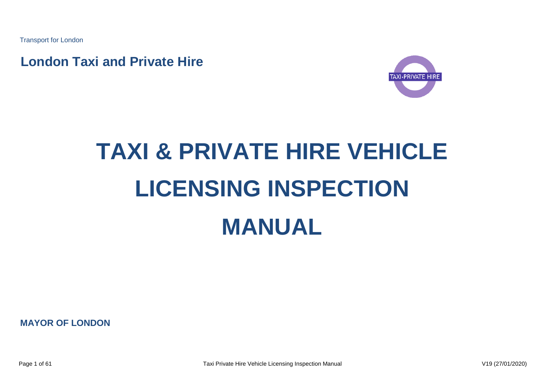Transport for London

**London Taxi and Private Hire**



# **TAXI & PRIVATE HIRE VEHICLE LICENSING INSPECTION MANUAL**

**MAYOR OF LONDON**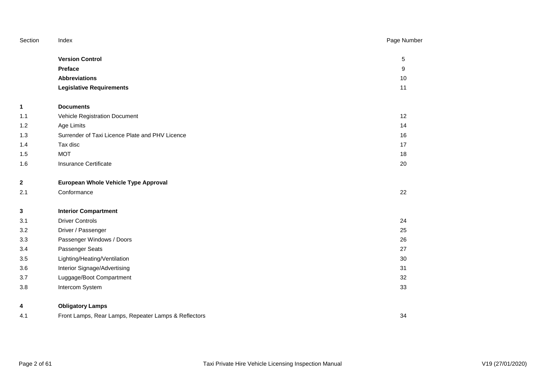| Section      | Index                                                | Page Number |
|--------------|------------------------------------------------------|-------------|
|              | <b>Version Control</b>                               | 5           |
|              | <b>Preface</b>                                       | 9           |
|              | <b>Abbreviations</b>                                 | 10          |
|              | <b>Legislative Requirements</b>                      | 11          |
| 1            | <b>Documents</b>                                     |             |
| 1.1          | Vehicle Registration Document                        | 12          |
| 1.2          | Age Limits                                           | 14          |
| 1.3          | Surrender of Taxi Licence Plate and PHV Licence      | 16          |
| 1.4          | Tax disc                                             | 17          |
| 1.5          | <b>MOT</b>                                           | 18          |
| 1.6          | <b>Insurance Certificate</b>                         | 20          |
| $\mathbf{2}$ | European Whole Vehicle Type Approval                 |             |
| 2.1          | Conformance                                          | 22          |
| 3            | <b>Interior Compartment</b>                          |             |
| 3.1          | <b>Driver Controls</b>                               | 24          |
| 3.2          | Driver / Passenger                                   | 25          |
| 3.3          | Passenger Windows / Doors                            | 26          |
| 3.4          | Passenger Seats                                      | 27          |
| 3.5          | Lighting/Heating/Ventilation                         | 30          |
| 3.6          | Interior Signage/Advertising                         | 31          |
| 3.7          | Luggage/Boot Compartment                             | 32          |
| 3.8          | Intercom System                                      | 33          |
| 4            | <b>Obligatory Lamps</b>                              |             |
| 4.1          | Front Lamps, Rear Lamps, Repeater Lamps & Reflectors | 34          |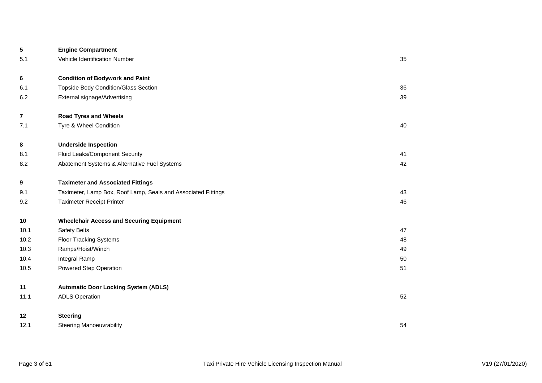| 5                       | <b>Engine Compartment</b>                                     |    |
|-------------------------|---------------------------------------------------------------|----|
| 5.1                     | Vehicle Identification Number                                 | 35 |
| 6                       | <b>Condition of Bodywork and Paint</b>                        |    |
| 6.1                     | <b>Topside Body Condition/Glass Section</b>                   | 36 |
| 6.2                     | External signage/Advertising                                  | 39 |
| $\overline{\mathbf{7}}$ | <b>Road Tyres and Wheels</b>                                  |    |
| 7.1                     | Tyre & Wheel Condition                                        | 40 |
| 8                       | <b>Underside Inspection</b>                                   |    |
| 8.1                     | Fluid Leaks/Component Security                                | 41 |
| 8.2                     | Abatement Systems & Alternative Fuel Systems                  | 42 |
| 9                       | <b>Taximeter and Associated Fittings</b>                      |    |
| 9.1                     | Taximeter, Lamp Box, Roof Lamp, Seals and Associated Fittings | 43 |
| 9.2                     | <b>Taximeter Receipt Printer</b>                              | 46 |
| 10                      | <b>Wheelchair Access and Securing Equipment</b>               |    |
| 10.1                    | <b>Safety Belts</b>                                           | 47 |
| 10.2                    | <b>Floor Tracking Systems</b>                                 | 48 |
| 10.3                    | Ramps/Hoist/Winch                                             | 49 |
| 10.4                    | Integral Ramp                                                 | 50 |
| 10.5                    | Powered Step Operation                                        | 51 |
| 11                      | <b>Automatic Door Locking System (ADLS)</b>                   |    |
| 11.1                    | <b>ADLS Operation</b>                                         | 52 |
| 12                      | <b>Steering</b>                                               |    |
| 12.1                    | <b>Steering Manoeuvrability</b>                               | 54 |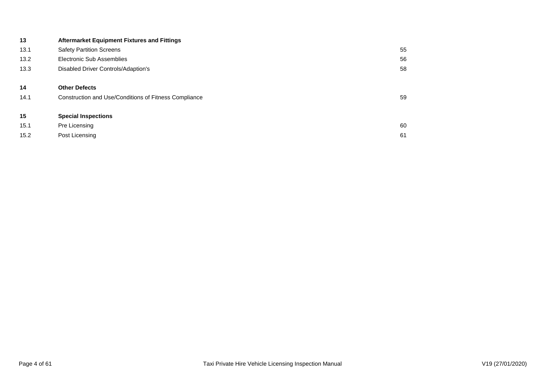| 13   | <b>Aftermarket Equipment Fixtures and Fittings</b>    |    |
|------|-------------------------------------------------------|----|
| 13.1 | <b>Safety Partition Screens</b>                       | 55 |
| 13.2 | Electronic Sub Assemblies                             | 56 |
| 13.3 | Disabled Driver Controls/Adaption's                   | 58 |
| 14   | <b>Other Defects</b>                                  |    |
| 14.1 | Construction and Use/Conditions of Fitness Compliance | 59 |
| 15   | <b>Special Inspections</b>                            |    |
| 15.1 | Pre Licensing                                         | 60 |
| 15.2 | Post Licensing                                        | 61 |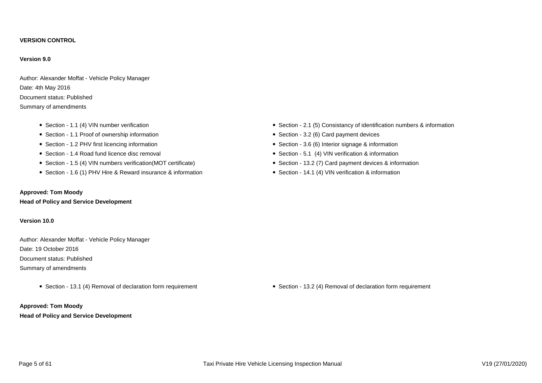#### **VERSION CONTROL**

#### **Version 9.0**

Author: Alexander Moffat - Vehicle Policy Manager Date: 4th May 2016 Document status: Published Summary of amendments

- 
- Section 1.1 Proof of ownership information **Section 3.2 (6)** Card payment devices
- Section 1.2 PHV first licencing information <br>• Section 3.6 (6) Interior signage & information
- 
- Section 1.5 (4) VIN numbers verification(MOT certificate) Section 13.2 (7) Card payment devices & information
- Section 1.6 (1) PHV Hire & Reward insurance & information Section 14.1 (4) VIN verification & information

## **Approved: Tom Moody**

**Head of Policy and Service Development**

### **Version 10.0**

Author: Alexander Moffat - Vehicle Policy Manager Date: 19 October 2016 Document status: Published Summary of amendments

# **Approved: Tom Moody Head of Policy and Service Development**

- Section 1.1 (4) VIN number verification **Section 3.1 (5)** Consistancy of identification numbers & information
	-
	-
- Section 1.4 Road fund licence disc removal **Section Section 5.1 (4)** VIN verification & information
	-
	-

• Section - 13.1 (4) Removal of declaration form requirement • Section - 13.2 (4) Removal of declaration form requirement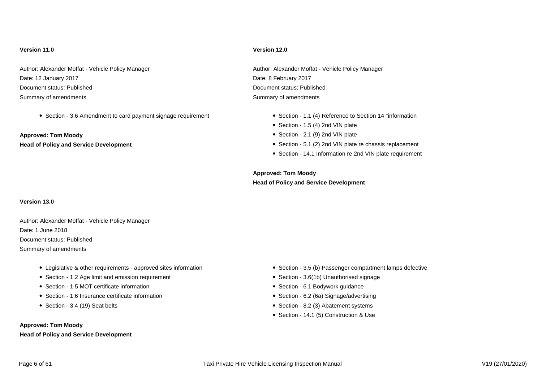Date: 12 January 2017 **Date: 8 February 2017** Document status: Published Document status: Published Summary of amendments Summary of amendments Summary of amendments

• Section - 3.6 Amendment to card payment signage requirement • Section - 1.1 (4) Reference to Section 14 "information

**Approved: Tom Moody Section - 2.1 (9) 2nd VIN plate** 

### **Version 11.0 Version 12.0**

Author: Alexander Moffat - Vehicle Policy Manager Author: Alexander Moffat - Vehicle Policy Manager Author: Alexander Moffat - Vehicle Policy Manager

- 
- $\bullet$  Section 1.5 (4) 2nd VIN plate
- 
- Head of Policy and Service Development **Section 5.1 (2)** 2nd VIN plate re chassis replacement
	- Section 14.1 Information re 2nd VIN plate requirement

**Approved: Tom Moody Head of Policy and Service Development**

#### **Version 13.0**

Author: Alexander Moffat - Vehicle Policy Manager Date: 1 June 2018 Document status: Published Summary of amendments

- Legislative & other requirements approved sites information **Section 3.5 (b)** Passenger compartment lamps defective
- Section 1.2 Age limit and emission requirement **Section 3.6(1b)** Unauthorised signage
- Section 1.5 MOT certificate information **Section 6.1 Bodywork guidance Section 6.1 Bodywork guidance**
- Section 1.6 Insurance certificate information **Section 6.2 (6a)** Signage/advertising
- 

#### **Approved: Tom Moody**

### **Head of Policy and Service Development**

- 
- 
- 
- 
- Section 3.4 (19) Seat belts Section 3.4 (19) Seat belts Section 8.2 (3) Abatement systems
	- Section 14.1 (5) Construction & Use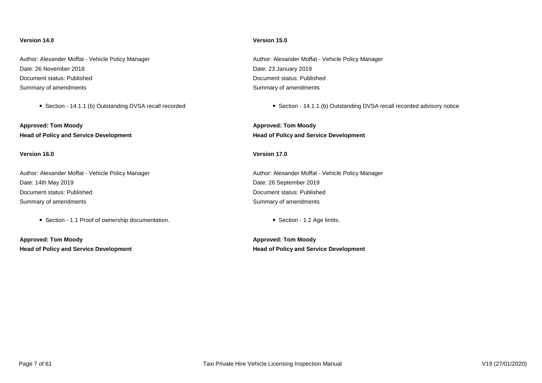Date: 26 November 2018 Date: 23 January 2019 Document status: Published Document status: Published Summary of amendments Summary of amendments Summary of amendments

**Approved: Tom Moody Approved: Tom Moody Head of Policy and Service Development Head of Policy and Service Development**

#### **Version 16.0 Version 17.0**

Author: Alexander Moffat - Vehicle Policy Manager Author: Alexander Moffat - Vehicle Policy Manager Date: 14th May 2019 **Date: 14th May 2019** Document status: Published Document status: Published Summary of amendments **Summary of amendments** Summary of amendments

• Section - 1.1 Proof of ownership documentation. 
• Section - 1.2 Age limits.

**Approved: Tom Moody Approved: Tom Moody Head of Policy and Service Development Head of Policy and Service Development**

#### **Version 14.0 Version 15.0**

Author: Alexander Moffat - Vehicle Policy Manager **Author: Alexander Moffat - Vehicle Policy Manager** Author: Alexander Moffat - Vehicle Policy Manager

• Section - 14.1.1 (b) Outstanding DVSA recall recorded 
in Section - 14.1.1 (b) Outstanding DVSA recall recorded advisory notice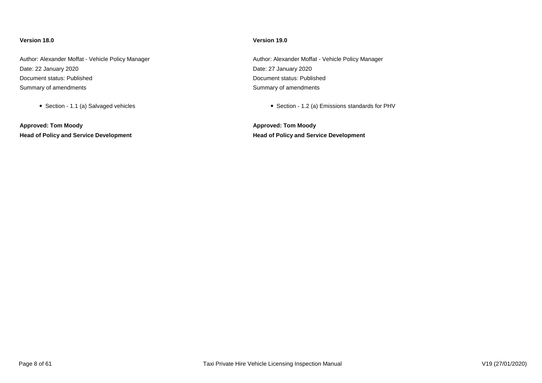#### **Version 18.0 Version 19.0**

Author: Alexander Moffat - Vehicle Policy Manager **Author: Author: Alexander Moffat - Vehicle Policy Manager** Author: Alexander Moffat - Vehicle Policy Manager Date: 22 January 2020 Date: 27 January 2020 Document status: Published Document status: Published Summary of amendments Summary of amendments Summary of amendments

**Approved: Tom Moody Approved: Tom Moody Head of Policy and Service Development Head of Policy and Service Development**

• Section - 1.1 (a) Salvaged vehicles Section - 1.2 (a) Emissions standards for PHV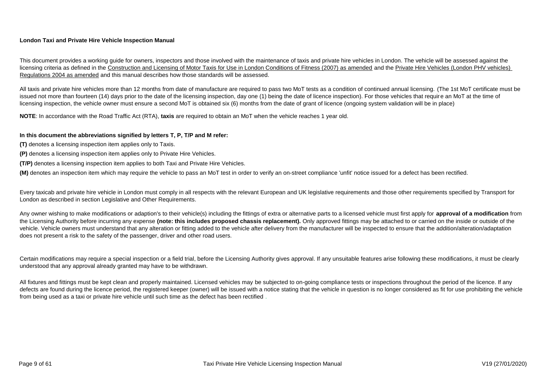# **London Taxi and Private Hire Vehicle Inspection Manual**

This document provides a working quide for owners, inspectors and those involved with the maintenance of taxis and private hire vehicles in London. The vehicle will be assessed against the licensing criteria as defined in the Construction and Licensing of Motor Taxis for Use in London Conditions of Fitness (2007) as amended and the Private Hire Vehicles (London PHV vehicles) Regulations 2004 as amended and this manual describes how those standards will be assessed.

All taxis and private hire vehicles more than 12 months from date of manufacture are required to pass two MoT tests as a condition of continued annual licensing. (The 1st MoT certificate must be issued not more than fourteen (14) days prior to the date of the licensing inspection, day one (1) being the date of licence inspection). For those vehicles that require an MoT at the time of licensing inspection, the vehicle owner must ensure a second MoT is obtained six (6) months from the date of grant of licence (ongoing system validation will be in place)

**NOTE**: In accordance with the Road Traffic Act (RTA), **taxis** are required to obtain an MoT when the vehicle reaches 1 year old.

# **In this document the abbreviations signified by letters T, P, T/P and M refer:**

- **(T)** denotes a licensing inspection item applies only to Taxis.
- **(P)** denotes a licensing inspection item applies only to Private Hire Vehicles.
- **(T/P)** denotes a licensing inspection item applies to both Taxi and Private Hire Vehicles.

**(M)** denotes an inspection item which may require the vehicle to pass an MoT test in order to verify an on-street compliance 'unfit' notice issued for a defect has been rectified.

Every taxicab and private hire vehicle in London must comply in all respects with the relevant European and UK legislative requirements and those other requirements specified by Transport for London as described in section Legislative and Other Requirements.

Any owner wishing to make modifications or adaption's to their vehicle(s) including the fittings of extra or alternative parts to a licensed vehicle must first apply for **approval of a modification** from the Licensing Authority before incurring any expense **(note: this includes proposed chassis replacement).** Only approved fittings may be attached to or carried on the inside or outside of the vehicle. Vehicle owners must understand that any alteration or fitting added to the vehicle after delivery from the manufacturer will be inspected to ensure that the addition/alteration/adaptation does not present a risk to the safety of the passenger, driver and other road users.

Certain modifications may require a special inspection or a field trial, before the Licensing Authority gives approval. If any unsuitable features arise following these modifications, it must be clearly understood that any approval already granted may have to be withdrawn.

All fixtures and fittings must be kept clean and properly maintained. Licensed vehicles may be subjected to on-going compliance tests or inspections throughout the period of the licence. If any defects are found during the licence period, the registered keeper (owner) will be issued with a notice stating that the vehicle in question is no longer considered as fit for use prohibiting the vehicle from being used as a taxi or private hire vehicle until such time as the defect has been rectified .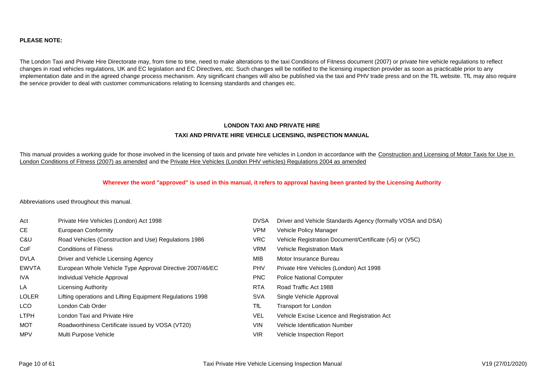## **PLEASE NOTE:**

The London Taxi and Private Hire Directorate may, from time to time, need to make alterations to the taxi Conditions of Fitness document (2007) or private hire vehicle regulations to reflect changes in road vehicles regulations, UK and EC legislation and EC Directives, etc. Such changes will be notified to the licensing inspection provider as soon as practicable prior to any implementation date and in the agreed change process mechanism. Any significant changes will also be published via the taxi and PHV trade press and on the TfL website. TfL may also require the service provider to deal with customer communications relating to licensing standards and changes etc.

# **LONDON TAXI AND PRIVATE HIRE TAXI AND PRIVATE HIRE VEHICLE LICENSING, INSPECTION MANUAL**

This manual provides a working guide for those involved in the licensing of taxis and private hire vehicles in London in accordance with the Construction and Licensing of Motor Taxis for Use in London Conditions of Fitness (2007) as amended and the Private Hire Vehicles (London PHV vehicles) Regulations 2004 as amended

#### **Wherever the word "approved" is used in this manual, it refers to approval having been granted by the Licensing Authority**

Abbreviations used throughout this manual.

| Act          | Private Hire Vehicles (London) Act 1998                   | <b>DVSA</b> | Driver and Vehicle Standards Agency (formally VOSA and DSA) |
|--------------|-----------------------------------------------------------|-------------|-------------------------------------------------------------|
| CE           | European Conformity                                       | <b>VPM</b>  | Vehicle Policy Manager                                      |
| C&U          | Road Vehicles (Construction and Use) Regulations 1986     | <b>VRC</b>  | Vehicle Registration Document/Certificate (v5) or (V5C)     |
| CoF          | <b>Conditions of Fitness</b>                              | <b>VRM</b>  | Vehicle Registration Mark                                   |
| <b>DVLA</b>  | Driver and Vehicle Licensing Agency                       | MIB         | Motor Insurance Bureau                                      |
| <b>EWVTA</b> | European Whole Vehicle Type Approval Directive 2007/46/EC | <b>PHV</b>  | Private Hire Vehicles (London) Act 1998                     |
| IVA.         | Individual Vehicle Approval                               | <b>PNC</b>  | <b>Police National Computer</b>                             |
| LA           | Licensing Authority                                       | <b>RTA</b>  | Road Traffic Act 1988                                       |
| <b>LOLER</b> | Lifting operations and Lifting Equipment Regulations 1998 | <b>SVA</b>  | Single Vehicle Approval                                     |
| LCO          | London Cab Order                                          | TfL.        | Transport for London                                        |
| <b>LTPH</b>  | London Taxi and Private Hire                              | VEL         | Vehicle Excise Licence and Registration Act                 |
| MOT          | Roadworthiness Certificate issued by VOSA (VT20)          | VIN.        | Vehicle Identification Number                               |
| <b>MPV</b>   | Multi Purpose Vehicle                                     | <b>VIR</b>  | Vehicle Inspection Report                                   |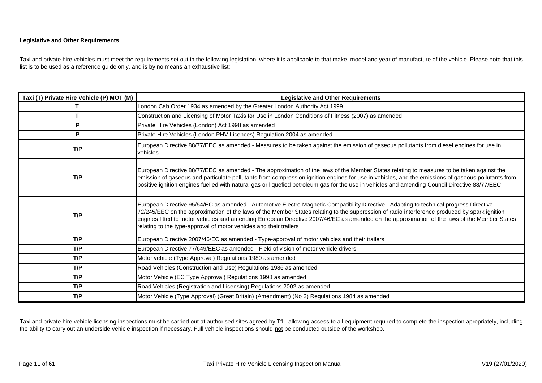## **Legislative and Other Requirements**

Taxi and private hire vehicles must meet the requirements set out in the following legislation, where it is applicable to that make, model and year of manufacture of the vehicle. Please note that this list is to be used as a reference guide only, and is by no means an exhaustive list:

| Taxi (T) Private Hire Vehicle (P) MOT (M) | <b>Legislative and Other Requirements</b>                                                                                                                                                                                                                                                                                                                                                                                                                                                                      |
|-------------------------------------------|----------------------------------------------------------------------------------------------------------------------------------------------------------------------------------------------------------------------------------------------------------------------------------------------------------------------------------------------------------------------------------------------------------------------------------------------------------------------------------------------------------------|
|                                           | London Cab Order 1934 as amended by the Greater London Authority Act 1999                                                                                                                                                                                                                                                                                                                                                                                                                                      |
|                                           | Construction and Licensing of Motor Taxis for Use in London Conditions of Fitness (2007) as amended                                                                                                                                                                                                                                                                                                                                                                                                            |
| P                                         | Private Hire Vehicles (London) Act 1998 as amended                                                                                                                                                                                                                                                                                                                                                                                                                                                             |
| P                                         | Private Hire Vehicles (London PHV Licences) Regulation 2004 as amended                                                                                                                                                                                                                                                                                                                                                                                                                                         |
| T/P                                       | European Directive 88/77/EEC as amended - Measures to be taken against the emission of gaseous pollutants from diesel engines for use in<br>vehicles                                                                                                                                                                                                                                                                                                                                                           |
| T/P                                       | European Directive 88/77/EEC as amended - The approximation of the laws of the Member States relating to measures to be taken against the<br>emission of gaseous and particulate pollutants from compression ignition engines for use in vehicles, and the emissions of gaseous pollutants from<br>positive ignition engines fuelled with natural gas or liquefied petroleum gas for the use in vehicles and amending Council Directive 88/77/EEC                                                              |
| T/P                                       | European Directive 95/54/EC as amended - Automotive Electro Magnetic Compatibility Directive - Adapting to technical progress Directive<br>72/245/EEC on the approximation of the laws of the Member States relating to the suppression of radio interference produced by spark ignition<br>engines fitted to motor vehicles and amending European Directive 2007/46/EC as amended on the approximation of the laws of the Member States<br>relating to the type-approval of motor vehicles and their trailers |
| T/P                                       | European Directive 2007/46/EC as amended - Type-approval of motor vehicles and their trailers                                                                                                                                                                                                                                                                                                                                                                                                                  |
| T/P                                       | European Directive 77/649/EEC as amended - Field of vision of motor vehicle drivers                                                                                                                                                                                                                                                                                                                                                                                                                            |
| T/P                                       | Motor vehicle (Type Approval) Regulations 1980 as amended                                                                                                                                                                                                                                                                                                                                                                                                                                                      |
| T/P                                       | Road Vehicles (Construction and Use) Regulations 1986 as amended                                                                                                                                                                                                                                                                                                                                                                                                                                               |
| T/P                                       | Motor Vehicle (EC Type Approval) Regulations 1998 as amended                                                                                                                                                                                                                                                                                                                                                                                                                                                   |
| T/P                                       | Road Vehicles (Registration and Licensing) Regulations 2002 as amended                                                                                                                                                                                                                                                                                                                                                                                                                                         |
| T/P                                       | Motor Vehicle (Type Approval) (Great Britain) (Amendment) (No 2) Regulations 1984 as amended                                                                                                                                                                                                                                                                                                                                                                                                                   |

Taxi and private hire vehicle licensing inspections must be carried out at authorised sites agreed by TfL, allowing access to all equipment required to complete the inspection apropriately, including the ability to carry out an underside vehicle inspection if necessary. Full vehicle inspections should not be conducted outside of the workshop.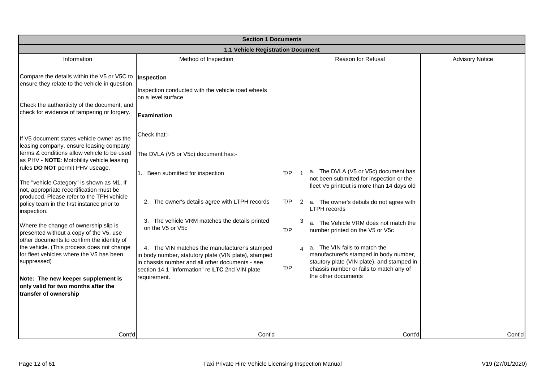|                                                                                                                                                                                                                                                                                                                                                                                                                                                                                                                                                                                                                                                                                                                                                                          | <b>Section 1 Documents</b>                                                                                                                                                                                                                                                                                                                                                                                                                     |                          |                                                                                                                                                                                                                                                                                                                                                                                                                                                                                             |                        |  |  |
|--------------------------------------------------------------------------------------------------------------------------------------------------------------------------------------------------------------------------------------------------------------------------------------------------------------------------------------------------------------------------------------------------------------------------------------------------------------------------------------------------------------------------------------------------------------------------------------------------------------------------------------------------------------------------------------------------------------------------------------------------------------------------|------------------------------------------------------------------------------------------------------------------------------------------------------------------------------------------------------------------------------------------------------------------------------------------------------------------------------------------------------------------------------------------------------------------------------------------------|--------------------------|---------------------------------------------------------------------------------------------------------------------------------------------------------------------------------------------------------------------------------------------------------------------------------------------------------------------------------------------------------------------------------------------------------------------------------------------------------------------------------------------|------------------------|--|--|
|                                                                                                                                                                                                                                                                                                                                                                                                                                                                                                                                                                                                                                                                                                                                                                          | 1.1 Vehicle Registration Document                                                                                                                                                                                                                                                                                                                                                                                                              |                          |                                                                                                                                                                                                                                                                                                                                                                                                                                                                                             |                        |  |  |
| Information                                                                                                                                                                                                                                                                                                                                                                                                                                                                                                                                                                                                                                                                                                                                                              | Method of Inspection                                                                                                                                                                                                                                                                                                                                                                                                                           |                          | Reason for Refusal                                                                                                                                                                                                                                                                                                                                                                                                                                                                          | <b>Advisory Notice</b> |  |  |
| Compare the details within the V5 or V5C to<br>ensure they relate to the vehicle in question.<br>Check the authenticity of the document, and<br>check for evidence of tampering or forgery.                                                                                                                                                                                                                                                                                                                                                                                                                                                                                                                                                                              | Inspection<br>Inspection conducted with the vehicle road wheels<br>on a level surface<br><b>Examination</b>                                                                                                                                                                                                                                                                                                                                    |                          |                                                                                                                                                                                                                                                                                                                                                                                                                                                                                             |                        |  |  |
| If V5 document states vehicle owner as the<br>leasing company, ensure leasing company<br>terms & conditions allow vehicle to be used<br>as PHV - NOTE: Motobility vehicle leasing<br>rules DO NOT permit PHV useage.<br>The "vehicle Category" is shown as M1, if<br>not, appropriate recertification must be<br>produced. Please refer to the TPH vehicle<br>policy team in the first instance prior to<br>inspection.<br>Where the change of ownership slip is<br>presented without a copy of the V5, use<br>other documents to confirm the identity of<br>the vehicle. (This process does not change<br>for fleet vehicles where the V5 has been<br>suppressed)<br>Note: The new keeper supplement is<br>only valid for two months after the<br>transfer of ownership | Check that:-<br>The DVLA (V5 or V5c) document has:-<br>1. Been submitted for inspection<br>2. The owner's details agree with LTPH records<br>3. The vehicle VRM matches the details printed<br>on the V5 or V5c<br>4. The VIN matches the manufacturer's stamped<br>in body number, statutory plate (VIN plate), stamped<br>in chassis number and all other documents - see<br>section 14.1 "information" re LTC 2nd VIN plate<br>requirement. | T/P<br>T/P<br>T/P<br>T/P | a. The DVLA (V5 or V5c) document has<br>not been submitted for inspection or the<br>fleet V5 printout is more than 14 days old<br>a. The owner's details do not agree with<br>$\mathsf{I2}^-$<br><b>LTPH</b> records<br>a. The Vehicle VRM does not match the<br>number printed on the V5 or V5c<br>a. The VIN fails to match the<br>manufacturer's stamped in body number,<br>stautory plate (VIN plate), and stamped in<br>chassis number or fails to match any of<br>the other documents |                        |  |  |
| Cont'd                                                                                                                                                                                                                                                                                                                                                                                                                                                                                                                                                                                                                                                                                                                                                                   | Cont'd                                                                                                                                                                                                                                                                                                                                                                                                                                         |                          | Cont'd                                                                                                                                                                                                                                                                                                                                                                                                                                                                                      | Cont'd                 |  |  |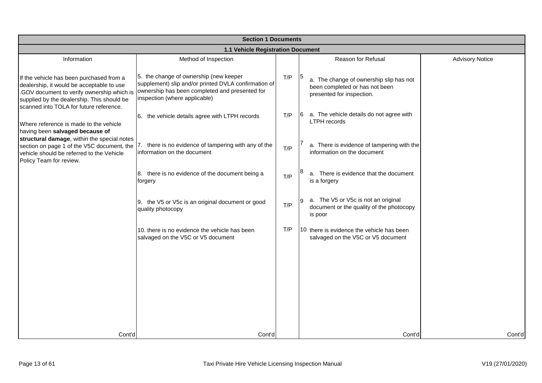| <b>Section 1 Documents</b>                                                                                                                                                                                                   |                                                                                                                                                                                   |     |                                                                                                        |                        |  |
|------------------------------------------------------------------------------------------------------------------------------------------------------------------------------------------------------------------------------|-----------------------------------------------------------------------------------------------------------------------------------------------------------------------------------|-----|--------------------------------------------------------------------------------------------------------|------------------------|--|
|                                                                                                                                                                                                                              | 1.1 Vehicle Registration Document                                                                                                                                                 |     |                                                                                                        |                        |  |
| Information                                                                                                                                                                                                                  | Method of Inspection                                                                                                                                                              |     | Reason for Refusal                                                                                     | <b>Advisory Notice</b> |  |
| If the vehicle has been purchased from a<br>dealership, it would be acceptable to use<br>.GOV document to verify ownership which is<br>supplied by the dealership. This should be<br>scanned into TOLA for future reference. | 5. the change of ownership (new keeper<br>supplement) slip and/or printed DVLA confirmation of<br>ownership has been completed and presented for<br>inspection (where applicable) | T/P | a. The change of ownership slip has not<br>been completed or has not been<br>presented for inspection. |                        |  |
| Where reference is made to the vehicle<br>having been salvaged because of                                                                                                                                                    | 6. the vehicle details agree with LTPH records                                                                                                                                    | T/P | 6 a. The vehicle details do not agree with<br><b>LTPH</b> records                                      |                        |  |
| structural damage, within the special notes<br>section on page 1 of the V5C document, the<br>vehicle should be referred to the Vehicle<br>Policy Team for review.                                                            | there is no evidence of tampering with any of the<br>7.<br>information on the document                                                                                            | T/P | a. There is evidence of tampering with the<br>information on the document                              |                        |  |
|                                                                                                                                                                                                                              | 8. there is no evidence of the document being a<br>forgery                                                                                                                        | T/P | a. There is evidence that the document<br>is a forgery                                                 |                        |  |
|                                                                                                                                                                                                                              | 9. the V5 or V5c is an original document or good<br>quality photocopy                                                                                                             | T/P | a. The V5 or V5c is not an original<br>9<br>document or the quality of the photocopy<br>is poor        |                        |  |
|                                                                                                                                                                                                                              | 10. there is no evidence the vehicle has been<br>salvaged on the V5C or V5 document                                                                                               | T/P | 10 there is evidence the vehicle has been<br>salvaged on the V5C or V5 document                        |                        |  |
|                                                                                                                                                                                                                              |                                                                                                                                                                                   |     |                                                                                                        |                        |  |
|                                                                                                                                                                                                                              |                                                                                                                                                                                   |     |                                                                                                        |                        |  |
|                                                                                                                                                                                                                              |                                                                                                                                                                                   |     |                                                                                                        |                        |  |
| Cont'd                                                                                                                                                                                                                       | Cont'd                                                                                                                                                                            |     | Cont'd                                                                                                 | Cont'd                 |  |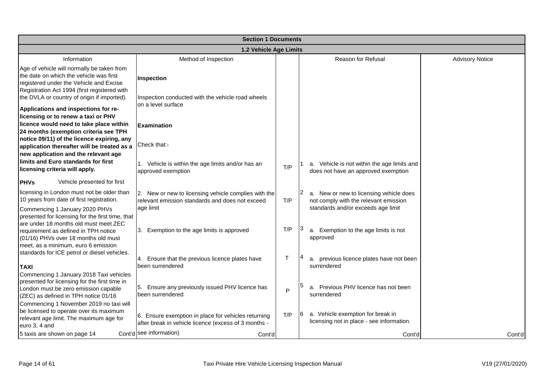| <b>Section 1 Documents</b>                                                                                                                                                                                                                                                                         |                                                                                                             |        |                                                                                         |                        |  |  |
|----------------------------------------------------------------------------------------------------------------------------------------------------------------------------------------------------------------------------------------------------------------------------------------------------|-------------------------------------------------------------------------------------------------------------|--------|-----------------------------------------------------------------------------------------|------------------------|--|--|
| 1.2 Vehicle Age Limits                                                                                                                                                                                                                                                                             |                                                                                                             |        |                                                                                         |                        |  |  |
| Information                                                                                                                                                                                                                                                                                        | Method of Inspection                                                                                        |        | Reason for Refusal                                                                      | <b>Advisory Notice</b> |  |  |
| Age of vehicle will normally be taken from<br>the date on which the vehicle was first<br>registered under the Vehicle and Excise<br>Registration Act 1994 (first registered with                                                                                                                   | Inspection                                                                                                  |        |                                                                                         |                        |  |  |
| the DVLA or country of origin if imported).<br>Applications and inspections for re-<br>licensing or to renew a taxi or PHV                                                                                                                                                                         | Inspection conducted with the vehicle road wheels<br>on a level surface                                     |        |                                                                                         |                        |  |  |
| licence would need to take place within<br>24 months (exemption criteria see TPH                                                                                                                                                                                                                   | <b>Examination</b>                                                                                          |        |                                                                                         |                        |  |  |
| notice 09/11) of the licence expiring, any<br>application thereafter will be treated as a<br>new application and the relevant age                                                                                                                                                                  | Check that:-                                                                                                |        |                                                                                         |                        |  |  |
| limits and Euro standards for first<br>licensing criteria will apply.                                                                                                                                                                                                                              | 1. Vehicle is within the age limits and/or has an<br>approved exemption                                     | T/P    | a. Vehicle is not within the age limits and<br>does not have an approved exemption      |                        |  |  |
| Vehicle presented for first<br><b>PHVs</b>                                                                                                                                                                                                                                                         |                                                                                                             |        |                                                                                         |                        |  |  |
| licensing in London must not be older than<br>10 years from date of first registration.                                                                                                                                                                                                            | 2. New or new to licensing vehicle complies with the<br>relevant emission standards and does not exceed     | T/P    | a. New or new to licensing vehicle does<br>not comply with the relevant emission        |                        |  |  |
| Commencing 1 January 2020 PHVs<br>presented for licensing for the first time, that<br>are under 18 months old must meet ZEC<br>requirement as defined in TPH notice<br>(01/16) PHVs over 18 months old must<br>meet, as a minimum, euro 6 emission<br>standards for ICE petrol or diesel vehicles. | age limit<br>3. Exemption to the age limits is approved                                                     | T/P    | standards and/or exceeds age limit<br>a. Exemption to the age limits is not<br>approved |                        |  |  |
| <b>TAXI</b>                                                                                                                                                                                                                                                                                        | 4. Ensure that the previous licence plates have<br>been surrendered                                         | $\top$ | a. previous licence plates have not been<br>surrendered                                 |                        |  |  |
| Commencing 1 January 2018 Taxi vehicles<br>presented for licensing for the first time in<br>London must be zero emission capable<br>(ZEC) as defined in TPH notice 01/16                                                                                                                           | 5. Ensure any previously issued PHV licence has<br>been surrendered                                         | P      | a. Previous PHV licence has not been<br>surrendered                                     |                        |  |  |
| Commencing 1 November 2019 no taxi will<br>be licensed to operate over its maximum<br>relevant age limit. The maximum age for<br>euro 3, 4 and                                                                                                                                                     | 6. Ensure exemption in place for vehicles returning<br>after break in vehicle licence (excess of 3 months - | T/P    | a. Vehicle exemption for break in<br>16.<br>licensing not in place - see information.   |                        |  |  |
| 5 taxis are shown on page 14                                                                                                                                                                                                                                                                       | Cont'd see information)<br>Cont'd                                                                           |        | Cont'd                                                                                  | Cont'd                 |  |  |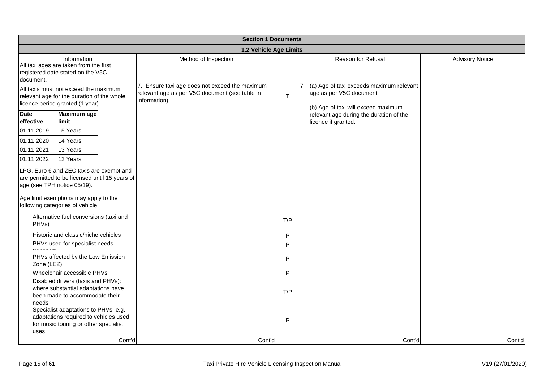| <b>Section 1 Documents</b>                                         |                                                                                                                                       |        |                                                                        |     |                                                                     |                        |  |
|--------------------------------------------------------------------|---------------------------------------------------------------------------------------------------------------------------------------|--------|------------------------------------------------------------------------|-----|---------------------------------------------------------------------|------------------------|--|
|                                                                    | 1.2 Vehicle Age Limits                                                                                                                |        |                                                                        |     |                                                                     |                        |  |
| document.                                                          | Information<br>All taxi ages are taken from the first<br>registered date stated on the V5C<br>All taxis must not exceed the maximum   |        | Method of Inspection<br>7. Ensure taxi age does not exceed the maximum |     | Reason for Refusal<br>(a) Age of taxi exceeds maximum relevant<br>7 | <b>Advisory Notice</b> |  |
|                                                                    | relevant age for the duration of the whole<br>licence period granted (1 year).                                                        |        | relevant age as per V5C document (see table in<br>information)         | T   | age as per V5C document<br>(b) Age of taxi will exceed maximum      |                        |  |
| <b>Date</b><br>effective<br>01.11.2019<br>01.11.2020<br>01.11.2021 | <b>Maximum</b> age<br>limit<br>15 Years<br>14 Years<br>13 Years                                                                       |        |                                                                        |     | relevant age during the duration of the<br>licence if granted.      |                        |  |
| 01.11.2022                                                         | 12 Years<br>LPG, Euro 6 and ZEC taxis are exempt and<br>are permitted to be licensed until 15 years of<br>age (see TPH notice 05/19). |        |                                                                        |     |                                                                     |                        |  |
|                                                                    | Age limit exemptions may apply to the<br>following categories of vehicle:                                                             |        |                                                                        |     |                                                                     |                        |  |
| PHVs)                                                              | Alternative fuel conversions (taxi and                                                                                                |        |                                                                        | T/P |                                                                     |                        |  |
|                                                                    | Historic and classic/niche vehicles                                                                                                   |        |                                                                        | P   |                                                                     |                        |  |
|                                                                    | PHVs used for specialist needs                                                                                                        |        |                                                                        | P   |                                                                     |                        |  |
| Zone (LEZ)                                                         | PHVs affected by the Low Emission                                                                                                     |        |                                                                        | P   |                                                                     |                        |  |
|                                                                    | Wheelchair accessible PHVs                                                                                                            |        |                                                                        | P   |                                                                     |                        |  |
| needs                                                              | Disabled drivers (taxis and PHVs):<br>where substantial adaptations have<br>been made to accommodate their                            |        |                                                                        | T/P |                                                                     |                        |  |
| uses                                                               | Specialist adaptations to PHVs: e.g.<br>adaptations required to vehicles used<br>for music touring or other specialist                |        |                                                                        | P   |                                                                     |                        |  |
|                                                                    |                                                                                                                                       | Cont'd | Cont'd                                                                 |     | Cont'd                                                              | Cont'd                 |  |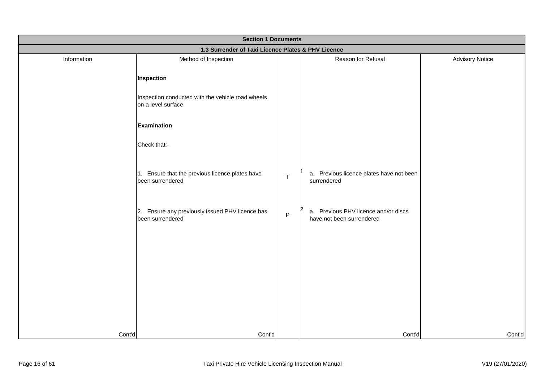| <b>Section 1 Documents</b> |                                                                         |   |                                                                   |                        |
|----------------------------|-------------------------------------------------------------------------|---|-------------------------------------------------------------------|------------------------|
|                            | 1.3 Surrender of Taxi Licence Plates & PHV Licence                      |   |                                                                   |                        |
| Information                | Method of Inspection                                                    |   | Reason for Refusal                                                | <b>Advisory Notice</b> |
|                            | Inspection                                                              |   |                                                                   |                        |
|                            | Inspection conducted with the vehicle road wheels<br>on a level surface |   |                                                                   |                        |
|                            | <b>Examination</b>                                                      |   |                                                                   |                        |
|                            | Check that:-                                                            |   |                                                                   |                        |
|                            | 1. Ensure that the previous licence plates have<br>been surrendered     | T | a. Previous licence plates have not been<br>surrendered           |                        |
|                            | 2. Ensure any previously issued PHV licence has<br>been surrendered     | P | a. Previous PHV licence and/or discs<br>have not been surrendered |                        |
|                            |                                                                         |   |                                                                   |                        |
|                            |                                                                         |   |                                                                   |                        |
|                            |                                                                         |   |                                                                   |                        |
|                            |                                                                         |   |                                                                   |                        |
| Cont'd                     | Cont'd                                                                  |   | Cont'd                                                            | Cont'd                 |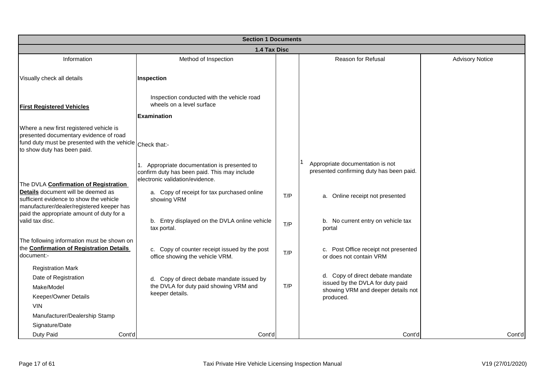|                                                                                                                                                                                                                  | <b>Section 1 Documents</b>                                                                                                                                                                    |     |                                                                                                                         |                        |  |  |
|------------------------------------------------------------------------------------------------------------------------------------------------------------------------------------------------------------------|-----------------------------------------------------------------------------------------------------------------------------------------------------------------------------------------------|-----|-------------------------------------------------------------------------------------------------------------------------|------------------------|--|--|
|                                                                                                                                                                                                                  | 1.4 Tax Disc                                                                                                                                                                                  |     |                                                                                                                         |                        |  |  |
| Information                                                                                                                                                                                                      | Method of Inspection                                                                                                                                                                          |     | Reason for Refusal                                                                                                      | <b>Advisory Notice</b> |  |  |
| Visually check all details                                                                                                                                                                                       | Inspection                                                                                                                                                                                    |     |                                                                                                                         |                        |  |  |
| <b>First Registered Vehicles</b>                                                                                                                                                                                 | Inspection conducted with the vehicle road<br>wheels on a level surface<br><b>Examination</b>                                                                                                 |     |                                                                                                                         |                        |  |  |
| Where a new first registered vehicle is<br>presented documentary evidence of road<br>fund duty must be presented with the vehicle Check that:-<br>to show duty has been paid.                                    |                                                                                                                                                                                               |     |                                                                                                                         |                        |  |  |
| The DVLA Confirmation of Registration<br>Details document will be deemed as<br>sufficient evidence to show the vehicle<br>manufacturer/dealer/registered keeper has<br>paid the appropriate amount of duty for a | 1. Appropriate documentation is presented to<br>confirm duty has been paid. This may include<br>electronic validation/evidence.<br>a. Copy of receipt for tax purchased online<br>showing VRM | T/P | Appropriate documentation is not<br>presented confirming duty has been paid.<br>Online receipt not presented<br>a.      |                        |  |  |
| valid tax disc.                                                                                                                                                                                                  | b. Entry displayed on the DVLA online vehicle<br>tax portal.                                                                                                                                  | T/P | b. No current entry on vehicle tax<br>portal                                                                            |                        |  |  |
| The following information must be shown on<br>the Confirmation of Registration Details<br>document:-                                                                                                             | c. Copy of counter receipt issued by the post<br>office showing the vehicle VRM.                                                                                                              | T/P | Post Office receipt not presented<br>c.<br>or does not contain VRM                                                      |                        |  |  |
| <b>Registration Mark</b><br>Date of Registration<br>Make/Model<br>Keeper/Owner Details<br><b>VIN</b>                                                                                                             | d. Copy of direct debate mandate issued by<br>the DVLA for duty paid showing VRM and<br>keeper details.                                                                                       | T/P | d. Copy of direct debate mandate<br>issued by the DVLA for duty paid<br>showing VRM and deeper details not<br>produced. |                        |  |  |
| Manufacturer/Dealership Stamp<br>Signature/Date<br>Duty Paid<br>Cont'd                                                                                                                                           | Cont'd                                                                                                                                                                                        |     | Cont'd                                                                                                                  | Cont'd                 |  |  |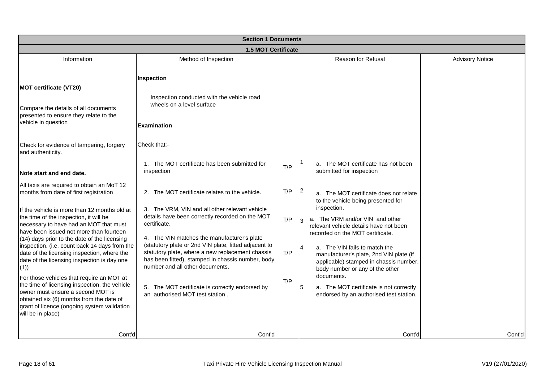|                                                                                                                                                                                                                                                 | <b>Section 1 Documents</b>                                                                                                                                                                        |     |                                                                                                                                                            |                        |  |  |
|-------------------------------------------------------------------------------------------------------------------------------------------------------------------------------------------------------------------------------------------------|---------------------------------------------------------------------------------------------------------------------------------------------------------------------------------------------------|-----|------------------------------------------------------------------------------------------------------------------------------------------------------------|------------------------|--|--|
|                                                                                                                                                                                                                                                 | <b>1.5 MOT Certificate</b>                                                                                                                                                                        |     |                                                                                                                                                            |                        |  |  |
| Information                                                                                                                                                                                                                                     | Method of Inspection                                                                                                                                                                              |     | Reason for Refusal                                                                                                                                         | <b>Advisory Notice</b> |  |  |
| <b>MOT certificate (VT20)</b><br>Compare the details of all documents<br>presented to ensure they relate to the<br>vehicle in question                                                                                                          | Inspection<br>Inspection conducted with the vehicle road<br>wheels on a level surface                                                                                                             |     |                                                                                                                                                            |                        |  |  |
| Check for evidence of tampering, forgery<br>and authenticity.                                                                                                                                                                                   | <b>Examination</b><br>Check that:-<br>1. The MOT certificate has been submitted for<br>inspection                                                                                                 | T/P | a. The MOT certificate has not been<br>submitted for inspection                                                                                            |                        |  |  |
| Note start and end date.                                                                                                                                                                                                                        |                                                                                                                                                                                                   |     |                                                                                                                                                            |                        |  |  |
| All taxis are required to obtain an MoT 12<br>months from date of first registration<br>If the vehicle is more than 12 months old at                                                                                                            | 2. The MOT certificate relates to the vehicle.<br>3. The VRM, VIN and all other relevant vehicle                                                                                                  | T/P | a. The MOT certificate does not relate<br>to the vehicle being presented for<br>inspection.                                                                |                        |  |  |
| the time of the inspection, it will be<br>necessary to have had an MOT that must<br>have been issued not more than fourteen<br>(14) days prior to the date of the licensing                                                                     | details have been correctly recorded on the MOT<br>certificate.<br>4. The VIN matches the manufacturer's plate                                                                                    | T/P | a. The VRM and/or VIN and other<br>relevant vehicle details have not been<br>recorded on the MOT certificate.                                              |                        |  |  |
| inspection. (i.e. count back 14 days from the<br>date of the licensing inspection, where the<br>date of the licensing inspection is day one<br>(1)                                                                                              | (statutory plate or 2nd VIN plate, fitted adjacent to<br>statutory plate, where a new replacement chassis<br>has been fitted), stamped in chassis number, body<br>number and all other documents. | T/P | a. The VIN fails to match the<br>4<br>manufacturer's plate, 2nd VIN plate (if<br>applicable) stamped in chassis number,<br>body number or any of the other |                        |  |  |
| For those vehicles that require an MOT at<br>the time of licensing inspection, the vehicle<br>owner must ensure a second MOT is<br>obtained six (6) months from the date of<br>grant of licence (ongoing system validation<br>will be in place) | 5. The MOT certificate is correctly endorsed by<br>an authorised MOT test station.                                                                                                                | T/P | documents.<br>a. The MOT certificate is not correctly<br>5<br>endorsed by an authorised test station.                                                      |                        |  |  |
| Cont'd                                                                                                                                                                                                                                          | Cont'd                                                                                                                                                                                            |     | Cont'd                                                                                                                                                     | Cont'd                 |  |  |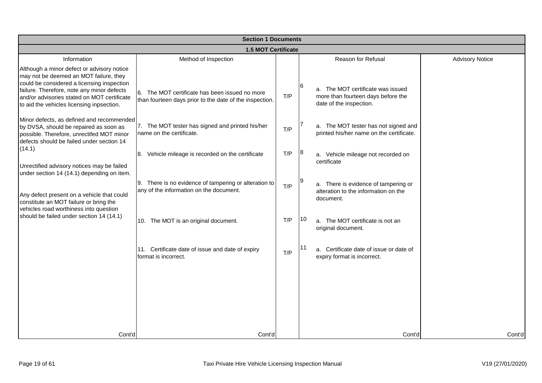|                                                                                                                                                                                                                                                                              | <b>Section 1 Documents</b>                                                                                                               |            |     |                                                                                                                               |                        |  |
|------------------------------------------------------------------------------------------------------------------------------------------------------------------------------------------------------------------------------------------------------------------------------|------------------------------------------------------------------------------------------------------------------------------------------|------------|-----|-------------------------------------------------------------------------------------------------------------------------------|------------------------|--|
|                                                                                                                                                                                                                                                                              | <b>1.5 MOT Certificate</b>                                                                                                               |            |     |                                                                                                                               |                        |  |
| Information                                                                                                                                                                                                                                                                  | Method of Inspection                                                                                                                     |            |     | Reason for Refusal                                                                                                            | <b>Advisory Notice</b> |  |
| Although a minor defect or advisory notice<br>may not be deemed an MOT failure, they<br>could be considered a licensing inspection<br>failure. Therefore, note any minor defects<br>and/or advisories stated on MOT certificate<br>to aid the vehicles licensing inpsection. | 6. The MOT certificate has been issued no more<br>than fourteen days prior to the date of the inspection.                                | T/P        | 16. | a. The MOT certificate was issued<br>more than fourteen days before the<br>date of the inspection.                            |                        |  |
| Minor defects, as defined and recommended<br>by DVSA, should be repaired as soon as<br>possible. Therefore, unrectifed MOT minor<br>defects should be failed under section 14                                                                                                | 7. The MOT tester has signed and printed his/her<br>name on the certificate.                                                             | T/P        |     | a. The MOT tester has not signed and<br>printed his/her name on the certificate.                                              |                        |  |
| (14.1)                                                                                                                                                                                                                                                                       | 8. Vehicle mileage is recorded on the certificate                                                                                        | T/P        | 18  | a. Vehicle mileage not recorded on<br>certificate                                                                             |                        |  |
| Unrectified advisory notices may be failed<br>under section 14 (14.1) depending on item.<br>Any defect present on a vehicle that could<br>constitute an MOT failure or bring the<br>vehicles road worthiness into question<br>should be failed under section 14 (14.1)       | 9. There is no evidence of tampering or alteration to<br>any of the information on the document.<br>10. The MOT is an original document. | T/P<br>T/P | 10  | a. There is evidence of tampering or<br>alteration to the information on the<br>document.<br>a. The MOT certificate is not an |                        |  |
|                                                                                                                                                                                                                                                                              | 11. Certificate date of issue and date of expiry<br>format is incorrect.                                                                 | T/P        | 11  | original document.<br>a. Certificate date of issue or date of<br>expiry format is incorrect.                                  |                        |  |
|                                                                                                                                                                                                                                                                              |                                                                                                                                          |            |     |                                                                                                                               |                        |  |
| Cont'd                                                                                                                                                                                                                                                                       | Cont'd                                                                                                                                   |            |     | Cont'd                                                                                                                        | Cont'd                 |  |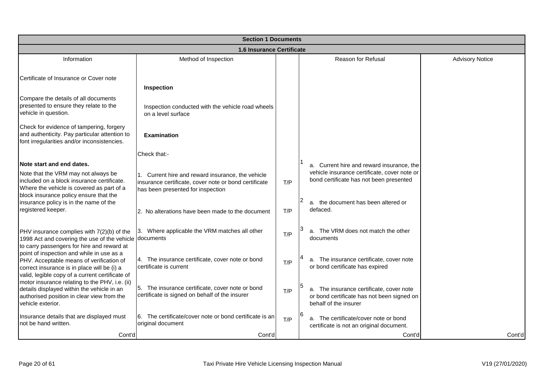|                                                                                                                                                                                         | <b>Section 1 Documents</b>                                                                                                                   |     |                                                                                                                 |                        |
|-----------------------------------------------------------------------------------------------------------------------------------------------------------------------------------------|----------------------------------------------------------------------------------------------------------------------------------------------|-----|-----------------------------------------------------------------------------------------------------------------|------------------------|
|                                                                                                                                                                                         | 1.6 Insurance Certificate                                                                                                                    |     |                                                                                                                 |                        |
| Information                                                                                                                                                                             | Method of Inspection                                                                                                                         |     | <b>Reason for Refusal</b>                                                                                       | <b>Advisory Notice</b> |
| Certificate of Insurance or Cover note                                                                                                                                                  | Inspection                                                                                                                                   |     |                                                                                                                 |                        |
| Compare the details of all documents<br>presented to ensure they relate to the<br>vehicle in question.                                                                                  | Inspection conducted with the vehicle road wheels<br>on a level surface                                                                      |     |                                                                                                                 |                        |
| Check for evidence of tampering, forgery<br>and authenticity. Pay particular attention to<br>font irregularities and/or inconsistencies.                                                | <b>Examination</b>                                                                                                                           |     |                                                                                                                 |                        |
|                                                                                                                                                                                         | Check that:-                                                                                                                                 |     |                                                                                                                 |                        |
| Note start and end dates.                                                                                                                                                               |                                                                                                                                              |     | a. Current hire and reward insurance, the                                                                       |                        |
| Note that the VRM may not always be<br>included on a block insurance certificate.<br>Where the vehicle is covered as part of a<br>block insurance policy ensure that the                | Current hire and reward insurance, the vehicle<br>insurance certificate, cover note or bond certificate<br>has been presented for inspection | T/P | vehicle insurance certificate, cover note or<br>bond certificate has not been presented                         |                        |
| insurance policy is in the name of the<br>registered keeper.                                                                                                                            | 2. No alterations have been made to the document                                                                                             | T/P | a. the document has been altered or<br>defaced.                                                                 |                        |
| PHV insurance complies with 7(2)(b) of the<br>1998 Act and covering the use of the vehicle<br>to carry passengers for hire and reward at                                                | Where applicable the VRM matches all other<br>3.<br>documents                                                                                | T/P | a. The VRM does not match the other<br>documents                                                                |                        |
| point of inspection and while in use as a<br>PHV. Acceptable means of verification of<br>correct insurance is in place will be (i) a<br>valid, legible copy of a current certificate of | 4. The insurance certificate, cover note or bond<br>certificate is current                                                                   | T/P | a. The insurance certificate, cover note<br>or bond certificate has expired                                     |                        |
| motor insurance relating to the PHV, i.e. (ii)<br>details displayed within the vehicle in an<br>authorised position in clear view from the<br>vehicle exterior.                         | 5. The insurance certificate, cover note or bond<br>certificate is signed on behalf of the insurer                                           | T/P | a. The insurance certificate, cover note<br>or bond certificate has not been signed on<br>behalf of the insurer |                        |
| Insurance details that are displayed must<br>not be hand written.                                                                                                                       | 6. The certificate/cover note or bond certificate is an<br>original document                                                                 | T/P | a. The certificate/cover note or bond<br>certificate is not an original document.                               |                        |
| Cont'd                                                                                                                                                                                  | Cont'd                                                                                                                                       |     | Cont'd                                                                                                          | Cont'd                 |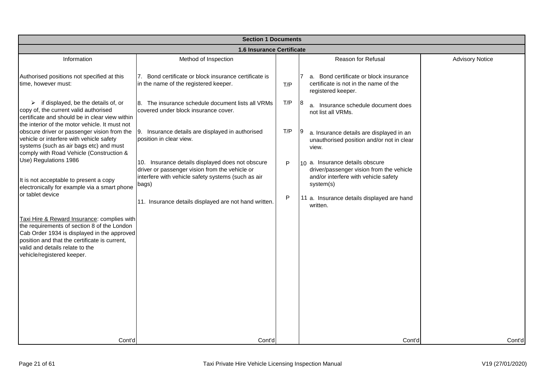| <b>Section 1 Documents</b>                                                                                                                                                                                                                                  |                                                                                                                                                                                                                            |        |                                                                                                                                                                                            |                        |
|-------------------------------------------------------------------------------------------------------------------------------------------------------------------------------------------------------------------------------------------------------------|----------------------------------------------------------------------------------------------------------------------------------------------------------------------------------------------------------------------------|--------|--------------------------------------------------------------------------------------------------------------------------------------------------------------------------------------------|------------------------|
|                                                                                                                                                                                                                                                             | 1.6 Insurance Certificate                                                                                                                                                                                                  |        |                                                                                                                                                                                            |                        |
| Information                                                                                                                                                                                                                                                 | Method of Inspection                                                                                                                                                                                                       |        | <b>Reason for Refusal</b>                                                                                                                                                                  | <b>Advisory Notice</b> |
| Authorised positions not specified at this<br>time, however must:                                                                                                                                                                                           | Bond certificate or block insurance certificate is<br>7.<br>in the name of the registered keeper.                                                                                                                          | T/P    | a. Bond certificate or block insurance<br>certificate is not in the name of the<br>registered keeper.                                                                                      |                        |
| if displayed, be the details of, or<br>➤<br>copy of, the current valid authorised<br>certificate and should be in clear view within<br>the interior of the motor vehicle. It must not                                                                       | 8. The insurance schedule document lists all VRMs<br>covered under block insurance cover.                                                                                                                                  | T/P    | 8<br>a. Insurance schedule document does<br>not list all VRMs.                                                                                                                             |                        |
| obscure driver or passenger vision from the<br>vehicle or interfere with vehicle safety<br>systems (such as air bags etc) and must<br>comply with Road Vehicle (Construction &                                                                              | 9. Insurance details are displayed in authorised<br>position in clear view.                                                                                                                                                | T/P    | a. Insurance details are displayed in an<br>unauthorised position and/or not in clear<br>view.                                                                                             |                        |
| Use) Regulations 1986<br>It is not acceptable to present a copy<br>electronically for example via a smart phone<br>or tablet device                                                                                                                         | 10. Insurance details displayed does not obscure<br>driver or passenger vision from the vehicle or<br>interfere with vehicle safety systems (such as air<br>bags)<br>11. Insurance details displayed are not hand written. | P<br>P | 10 a. Insurance details obscure<br>driver/passenger vision from the vehicle<br>and/or interfere with vehicle safety<br>system(s)<br>11 a. Insurance details displayed are hand<br>written. |                        |
| Taxi Hire & Reward Insurance: complies with<br>the requirements of section 8 of the London<br>Cab Order 1934 is displayed in the approved<br>position and that the certificate is current,<br>valid and details relate to the<br>vehicle/registered keeper. |                                                                                                                                                                                                                            |        |                                                                                                                                                                                            |                        |
| Cont'd                                                                                                                                                                                                                                                      | Cont'd                                                                                                                                                                                                                     |        | Cont'd                                                                                                                                                                                     | Cont'd                 |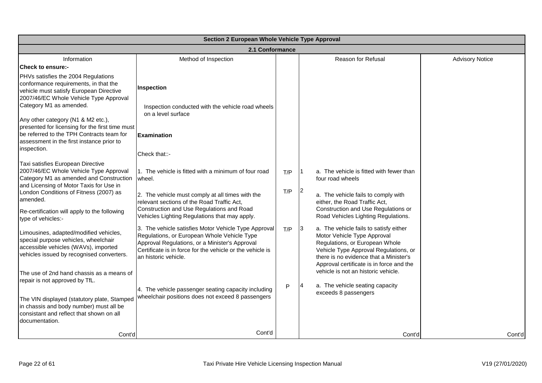|                                                                                                                                                                                                                                                                                               | Section 2 European Whole Vehicle Type Approval                                                                                                                                                                                                                 |            |               |                                                                                                                                                                                                                                                                               |                        |
|-----------------------------------------------------------------------------------------------------------------------------------------------------------------------------------------------------------------------------------------------------------------------------------------------|----------------------------------------------------------------------------------------------------------------------------------------------------------------------------------------------------------------------------------------------------------------|------------|---------------|-------------------------------------------------------------------------------------------------------------------------------------------------------------------------------------------------------------------------------------------------------------------------------|------------------------|
|                                                                                                                                                                                                                                                                                               | 2.1 Conformance                                                                                                                                                                                                                                                |            |               |                                                                                                                                                                                                                                                                               |                        |
| Information<br><b>Check to ensure:-</b>                                                                                                                                                                                                                                                       | Method of Inspection                                                                                                                                                                                                                                           |            |               | Reason for Refusal                                                                                                                                                                                                                                                            | <b>Advisory Notice</b> |
| PHVs satisfies the 2004 Regulations<br>conformance requirements, in that the<br>vehicle must satisfy European Directive<br>2007/46/EC Whole Vehicle Type Approval<br>Category M1 as amended.                                                                                                  | Inspection<br>Inspection conducted with the vehicle road wheels<br>on a level surface                                                                                                                                                                          |            |               |                                                                                                                                                                                                                                                                               |                        |
| Any other category (N1 & M2 etc.),<br>presented for licensing for the first time must<br>be referred to the TPH Contracts team for<br>assessment in the first instance prior to<br>inspection.                                                                                                | <b>Examination</b><br>Check that::-                                                                                                                                                                                                                            |            |               |                                                                                                                                                                                                                                                                               |                        |
| Taxi satisfies European Directive<br>2007/46/EC Whole Vehicle Type Approval<br>Category M1 as amended and Construction<br>and Licensing of Motor Taxis for Use in<br>London Conditions of Fitness (2007) as<br>amended.<br>Re-certification will apply to the following<br>type of vehicles:- | 1. The vehicle is fitted with a minimum of four road<br>wheel.<br>2. The vehicle must comply at all times with the<br>relevant sections of the Road Traffic Act,<br>Construction and Use Regulations and Road<br>Vehicles Lighting Regulations that may apply. | T/P<br>T/P | $\vert$ 2     | a. The vehicle is fitted with fewer than<br>four road wheels<br>a. The vehicle fails to comply with<br>either, the Road Traffic Act,<br>Construction and Use Regulations or<br>Road Vehicles Lighting Regulations.                                                            |                        |
| Limousines, adapted/modified vehicles,<br>special purpose vehicles, wheelchair<br>accessible vehicles (WAVs), imported<br>vehicles issued by recognised converters.<br>The use of 2nd hand chassis as a means of                                                                              | 3. The vehicle satisfies Motor Vehicle Type Approval<br>Regulations, or European Whole Vehicle Type<br>Approval Regulations, or a Minister's Approval<br>Certificate is in force for the vehicle or the vehicle is<br>an historic vehicle.                     | T/P        | $\vert$ 3     | a. The vehicle fails to satisfy either<br>Motor Vehicle Type Approval<br>Regulations, or European Whole<br>Vehicle Type Approval Regulations, or<br>there is no evidence that a Minister's<br>Approval certificate is in force and the<br>vehicle is not an historic vehicle. |                        |
| repair is not approved by TfL.<br>The VIN displayed (statutory plate, Stamped<br>in chassis and body number) must all be<br>consistant and reflect that shown on all<br>documentation.                                                                                                        | 4. The vehicle passenger seating capacity including<br>wheelchair positions does not exceed 8 passengers                                                                                                                                                       | P          | $\mathsf{I}4$ | a. The vehicle seating capacity<br>exceeds 8 passengers                                                                                                                                                                                                                       |                        |
| Cont'd                                                                                                                                                                                                                                                                                        | Cont'd                                                                                                                                                                                                                                                         |            |               | Cont'd                                                                                                                                                                                                                                                                        | Cont'd                 |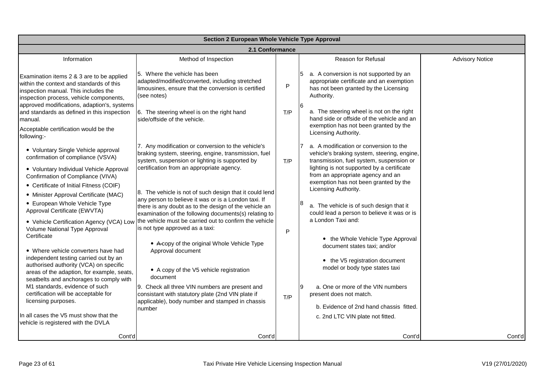|                                                                                                                                                                          | Section 2 European Whole Vehicle Type Approval                                                                                                                                                                                    |     |                                                                                                                                           |                        |  |  |
|--------------------------------------------------------------------------------------------------------------------------------------------------------------------------|-----------------------------------------------------------------------------------------------------------------------------------------------------------------------------------------------------------------------------------|-----|-------------------------------------------------------------------------------------------------------------------------------------------|------------------------|--|--|
|                                                                                                                                                                          | 2.1 Conformance                                                                                                                                                                                                                   |     |                                                                                                                                           |                        |  |  |
| Information                                                                                                                                                              | Method of Inspection                                                                                                                                                                                                              |     | Reason for Refusal                                                                                                                        | <b>Advisory Notice</b> |  |  |
| Examination items 2 & 3 are to be applied<br>within the context and standards of this<br>inspection manual. This includes the<br>inspection process, vehicle components, | 5. Where the vehicle has been<br>adapted/modified/converted, including stretched<br>limousines, ensure that the conversion is certified<br>(see notes)                                                                            | P   | a. A conversion is not supported by an<br>appropriate certificate and an exemption<br>has not been granted by the Licensing<br>Authority. |                        |  |  |
| approved modifications, adaption's, systems<br>and standards as defined in this inspection<br>manual.                                                                    | 6. The steering wheel is on the right hand<br>side/offside of the vehicle.                                                                                                                                                        | T/P | a. The steering wheel is not on the right<br>hand side or offside of the vehicle and an<br>exemption has not been granted by the          |                        |  |  |
| Acceptable certification would be the<br>following:-                                                                                                                     |                                                                                                                                                                                                                                   |     | Licensing Authority.                                                                                                                      |                        |  |  |
| • Voluntary Single Vehicle approval<br>confirmation of compliance (VSVA)                                                                                                 | 7. Any modification or conversion to the vehicle's<br>braking system, steering, engine, transmission, fuel<br>system, suspension or lighting is supported by                                                                      | T/P | a. A modification or conversion to the<br>vehicle's braking system, steering, engine,<br>transmission, fuel system, suspension or         |                        |  |  |
| • Voluntary Individual Vehicle Approval<br>Confirmation of Compliance (VIVA)                                                                                             | certification from an appropriate agency.                                                                                                                                                                                         |     | lighting is not supported by a certificate<br>from an appropriate agency and an                                                           |                        |  |  |
| • Certificate of Initial Fitness (COIF)                                                                                                                                  |                                                                                                                                                                                                                                   |     | exemption has not been granted by the<br>Licensing Authority.                                                                             |                        |  |  |
| • Minister Approval Certificate (MAC)<br>• European Whole Vehicle Type<br>Approval Certificate (EWVTA)                                                                   | 8. The vehicle is not of such design that it could lend<br>any person to believe it was or is a London taxi. If<br>there is any doubt as to the design of the vehicle an<br>examination of the following documents(s) relating to |     | a. The vehicle is of such design that it<br>could lead a person to believe it was or is                                                   |                        |  |  |
| Volume National Type Approval<br>Certificate                                                                                                                             | • Vehicle Certification Agency (VCA) Low   the vehicle must be carried out to confirm the vehicle<br>is not type approved as a taxi:                                                                                              | P   | a London Taxi and:                                                                                                                        |                        |  |  |
| • Where vehicle converters have had                                                                                                                                      | • Acopy of the original Whole Vehicle Type<br>Approval document                                                                                                                                                                   |     | • the Whole Vehicle Type Approval<br>document states taxi; and/or                                                                         |                        |  |  |
| independent testing carried out by an<br>authorised authority (VCA) on specific<br>areas of the adaption, for example, seats,<br>seatbelts and anchorages to comply with | • A copy of the V5 vehicle registration<br>document                                                                                                                                                                               |     | • the V5 registration document<br>model or body type states taxi                                                                          |                        |  |  |
| M1 standards, evidence of such<br>certification will be acceptable for<br>licensing purposes.                                                                            | 9. Check all three VIN numbers are present and<br>consistant with statutory plate (2nd VIN plate if<br>applicable), body number and stamped in chassis                                                                            | T/P | a. One or more of the VIN numbers<br>present does not match.                                                                              |                        |  |  |
| In all cases the V5 must show that the<br>vehicle is registered with the DVLA                                                                                            | number                                                                                                                                                                                                                            |     | b. Evidence of 2nd hand chassis fitted.<br>c. 2nd LTC VIN plate not fitted.                                                               |                        |  |  |
| Cont'd                                                                                                                                                                   | Cont'd                                                                                                                                                                                                                            |     | Cont'd                                                                                                                                    | Cont'd                 |  |  |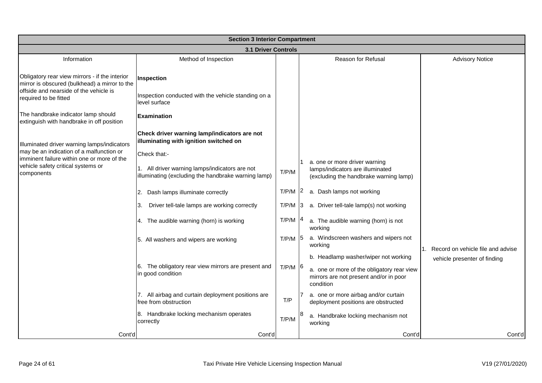|                                                                                                                                           | <b>Section 3 Interior Compartment</b>                                                                 |           |                                                                                                             |
|-------------------------------------------------------------------------------------------------------------------------------------------|-------------------------------------------------------------------------------------------------------|-----------|-------------------------------------------------------------------------------------------------------------|
|                                                                                                                                           | <b>3.1 Driver Controls</b>                                                                            |           |                                                                                                             |
| Information                                                                                                                               | Method of Inspection                                                                                  |           | <b>Reason for Refusal</b><br><b>Advisory Notice</b>                                                         |
| Obligatory rear view mirrors - if the interior<br>mirror is obscured (bulkhead) a mirror to the<br>offside and nearside of the vehicle is | Inspection<br>Inspection conducted with the vehicle standing on a                                     |           |                                                                                                             |
| required to be fitted                                                                                                                     | level surface                                                                                         |           |                                                                                                             |
| The handbrake indicator lamp should<br>extinguish with handbrake in off position                                                          | <b>Examination</b>                                                                                    |           |                                                                                                             |
| Illuminated driver warning lamps/indicators                                                                                               | Check driver warning lamp/indicators are not<br>illuminating with ignition switched on                |           |                                                                                                             |
| may be an indication of a malfunction or<br>imminent failure within one or more of the                                                    | Check that:-                                                                                          |           |                                                                                                             |
| vehicle safety critical systems or<br>components                                                                                          | 1. All driver warning lamps/indicators are not<br>illuminating (excluding the handbrake warning lamp) | T/P/M     | a. one or more driver warning<br>lamps/indicators are illuminated<br>(excluding the handbrake warning lamp) |
|                                                                                                                                           | 2. Dash lamps illuminate correctly                                                                    | T/P/M     | a. Dash lamps not working                                                                                   |
|                                                                                                                                           | Driver tell-tale lamps are working correctly<br>3.                                                    | T/P/M     | a. Driver tell-tale lamp(s) not working<br>13.                                                              |
|                                                                                                                                           | 4. The audible warning (horn) is working                                                              | T/P/M     | a. The audible warning (horn) is not<br>working                                                             |
|                                                                                                                                           | 5. All washers and wipers are working                                                                 | $T/P/M$ 5 | a. Windscreen washers and wipers not<br>working<br>1. Record on vehicle file and advise                     |
|                                                                                                                                           |                                                                                                       |           | b. Headlamp washer/wiper not working<br>vehicle presenter of finding                                        |
|                                                                                                                                           | 6. The obligatory rear view mirrors are present and<br>in good condition                              | $T/P/M$ 6 | a. one or more of the obligatory rear view<br>mirrors are not present and/or in poor<br>condition           |
|                                                                                                                                           | 7. All airbag and curtain deployment positions are<br>free from obstruction                           | T/P       | a. one or more airbag and/or curtain<br>deployment positions are obstructed                                 |
|                                                                                                                                           | 8. Handbrake locking mechanism operates<br>correctly                                                  | T/P/M     | a. Handbrake locking mechanism not<br>working                                                               |
| Cont'd                                                                                                                                    | Cont'd                                                                                                |           | Cont'd<br>Cont'd                                                                                            |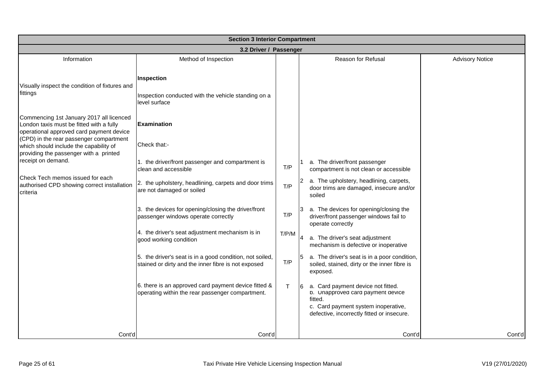| <b>Section 3 Interior Compartment</b>                                                                                                                                                                                 |                                                                                                                 |              |                                                                                                                                                                         |                        |  |
|-----------------------------------------------------------------------------------------------------------------------------------------------------------------------------------------------------------------------|-----------------------------------------------------------------------------------------------------------------|--------------|-------------------------------------------------------------------------------------------------------------------------------------------------------------------------|------------------------|--|
|                                                                                                                                                                                                                       | 3.2 Driver / Passenger                                                                                          |              |                                                                                                                                                                         |                        |  |
| Information                                                                                                                                                                                                           | Method of Inspection                                                                                            |              | Reason for Refusal                                                                                                                                                      | <b>Advisory Notice</b> |  |
| Visually inspect the condition of fixtures and<br>fittings                                                                                                                                                            | Inspection<br>Inspection conducted with the vehicle standing on a<br>level surface                              |              |                                                                                                                                                                         |                        |  |
| Commencing 1st January 2017 all licenced<br>London taxis must be fitted with a fully<br>operational approved card payment device<br>(CPD) in the rear passenger compartment<br>which should include the capability of | <b>Examination</b><br>Check that:-                                                                              |              |                                                                                                                                                                         |                        |  |
| providing the passenger with a printed<br>receipt on demand.                                                                                                                                                          | 1. the driver/front passenger and compartment is<br>clean and accessible                                        | T/P          | a. The driver/front passenger<br>compartment is not clean or accessible                                                                                                 |                        |  |
| Check Tech memos issued for each<br>authorised CPD showing correct installation<br>criteria                                                                                                                           | 2. the upholstery, headlining, carpets and door trims<br>are not damaged or soiled                              | T/P          | a. The upholstery, headlining, carpets,<br>door trims are damaged, insecure and/or<br>soiled                                                                            |                        |  |
|                                                                                                                                                                                                                       | 3. the devices for opening/closing the driver/front<br>passenger windows operate correctly                      | T/P          | a. The devices for opening/closing the<br>driver/front passenger windows fail to<br>operate correctly                                                                   |                        |  |
|                                                                                                                                                                                                                       | 4. the driver's seat adjustment mechanism is in<br>good working condition                                       | T/P/M        | a. The driver's seat adjustment<br>mechanism is defective or inoperative                                                                                                |                        |  |
|                                                                                                                                                                                                                       | 5. the driver's seat is in a good condition, not soiled,<br>stained or dirty and the inner fibre is not exposed | T/P          | a. The driver's seat is in a poor condition,<br>soiled, stained, dirty or the inner fibre is<br>exposed.                                                                |                        |  |
|                                                                                                                                                                                                                       | 6. there is an approved card payment device fitted &<br>operating within the rear passenger compartment.        | $\mathsf{T}$ | a. Card payment device not fitted.<br>p. Unapproved card payment device<br>fitted.<br>c. Card payment system inoperative,<br>defective, incorrectly fitted or insecure. |                        |  |
| Cont'd                                                                                                                                                                                                                | Cont'd                                                                                                          |              | Cont'd                                                                                                                                                                  | Cont'd                 |  |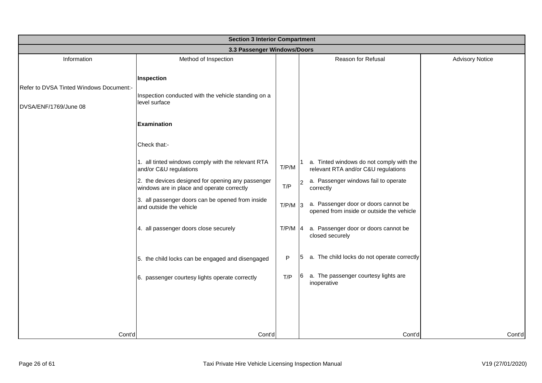|                                         | <b>Section 3 Interior Compartment</b>                                                           |           |                                                                                   |                        |  |  |
|-----------------------------------------|-------------------------------------------------------------------------------------------------|-----------|-----------------------------------------------------------------------------------|------------------------|--|--|
|                                         | 3.3 Passenger Windows/Doors                                                                     |           |                                                                                   |                        |  |  |
| Information                             | Method of Inspection                                                                            |           | Reason for Refusal                                                                | <b>Advisory Notice</b> |  |  |
| Refer to DVSA Tinted Windows Document:- | Inspection<br>Inspection conducted with the vehicle standing on a                               |           |                                                                                   |                        |  |  |
| DVSA/ENF/1769/June 08                   | level surface                                                                                   |           |                                                                                   |                        |  |  |
|                                         | <b>Examination</b>                                                                              |           |                                                                                   |                        |  |  |
|                                         | Check that:-                                                                                    |           |                                                                                   |                        |  |  |
|                                         | 1. all tinted windows comply with the relevant RTA<br>and/or C&U regulations                    | T/P/M     | a. Tinted windows do not comply with the<br>relevant RTA and/or C&U regulations   |                        |  |  |
|                                         | 2. the devices designed for opening any passenger<br>windows are in place and operate correctly | T/P       | a. Passenger windows fail to operate<br>correctly                                 |                        |  |  |
|                                         | 3. all passenger doors can be opened from inside<br>and outside the vehicle                     | $T/P/M$ 3 | a. Passenger door or doors cannot be<br>opened from inside or outside the vehicle |                        |  |  |
|                                         | 4. all passenger doors close securely                                                           | $T/P/M$ 4 | a. Passenger door or doors cannot be<br>closed securely                           |                        |  |  |
|                                         | 5. the child locks can be engaged and disengaged                                                | P         | a. The child locks do not operate correctly<br>5                                  |                        |  |  |
|                                         | 6. passenger courtesy lights operate correctly                                                  | T/P       | a. The passenger courtesy lights are<br>6<br>inoperative                          |                        |  |  |
|                                         |                                                                                                 |           |                                                                                   |                        |  |  |
|                                         |                                                                                                 |           |                                                                                   |                        |  |  |
| Cont'd                                  | Cont'd                                                                                          |           | Cont'd                                                                            | Cont'd                 |  |  |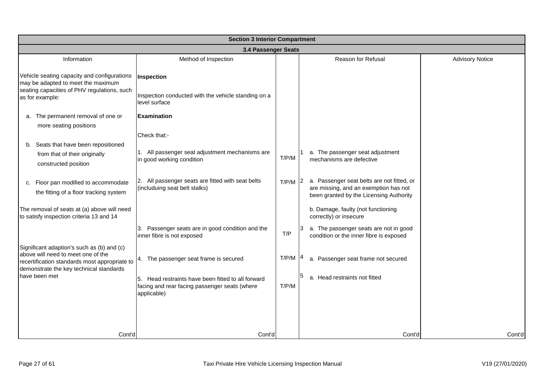|                                                                                                                                                                              | <b>Section 3 Interior Compartment</b>                                                                              |           |                                                                                                                                |                        |  |  |
|------------------------------------------------------------------------------------------------------------------------------------------------------------------------------|--------------------------------------------------------------------------------------------------------------------|-----------|--------------------------------------------------------------------------------------------------------------------------------|------------------------|--|--|
|                                                                                                                                                                              | 3.4 Passenger Seats                                                                                                |           |                                                                                                                                |                        |  |  |
| Information                                                                                                                                                                  | Method of Inspection                                                                                               |           | Reason for Refusal                                                                                                             | <b>Advisory Notice</b> |  |  |
| Vehicle seating capacity and configurations<br>may be adapted to meet the maximum<br>seating capacities of PHV regulations, such                                             | Inspection                                                                                                         |           |                                                                                                                                |                        |  |  |
| as for example:                                                                                                                                                              | Inspection conducted with the vehicle standing on a<br>level surface                                               |           |                                                                                                                                |                        |  |  |
| a. The permanent removal of one or<br>more seating positions                                                                                                                 | <b>Examination</b>                                                                                                 |           |                                                                                                                                |                        |  |  |
|                                                                                                                                                                              | Check that:-                                                                                                       |           |                                                                                                                                |                        |  |  |
| b. Seats that have been repositioned<br>from that of their originally<br>constructed position                                                                                | 1. All passenger seat adjustment mechanisms are<br>in good working condition                                       | T/P/M     | a. The passenger seat adjustment<br>mechanisms are defective                                                                   |                        |  |  |
| c. Floor pan modified to accommodate<br>the fitting of a floor tracking system                                                                                               | 2. All passenger seats are fitted with seat belts<br>(includuing seat belt stalks)                                 | $T/P/M$ 2 | a. Passenger seat belts are not fitted, or<br>are missing, and an exemption has not<br>been granted by the Licensing Authority |                        |  |  |
| The removal of seats at (a) above will need<br>to satisfy inspection criteria 13 and 14                                                                                      |                                                                                                                    |           | b. Damage, faulty (not functioning<br>correctly) or insecure                                                                   |                        |  |  |
|                                                                                                                                                                              | 3. Passenger seats are in good condition and the<br>inner fibre is not exposed                                     | T/P       | a. The passenger seats are not in good<br>13<br>condition or the inner fibre is exposed                                        |                        |  |  |
| Significant adaption's such as (b) and (c)<br>above will need to meet one of the<br>recertification standards most appropriate to<br>demonstrate the key technical standards | 4. The passenger seat frame is secured                                                                             | T/P/M     | a. Passenger seat frame not secured                                                                                            |                        |  |  |
| have been met                                                                                                                                                                | 5. Head restraints have been fitted to all forward<br>facing and rear facing passenger seats (where<br>applicable) | T/P/M     | a. Head restraints not fitted                                                                                                  |                        |  |  |
|                                                                                                                                                                              |                                                                                                                    |           |                                                                                                                                |                        |  |  |
| Cont'd                                                                                                                                                                       | Cont'd                                                                                                             |           | Cont'd                                                                                                                         | Cont'd                 |  |  |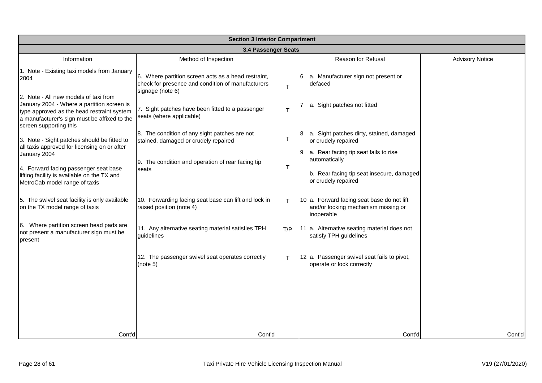|                                                                                                                                                                                                             | <b>Section 3 Interior Compartment</b>                                                                                        |     |                                                                                                 |                        |  |  |
|-------------------------------------------------------------------------------------------------------------------------------------------------------------------------------------------------------------|------------------------------------------------------------------------------------------------------------------------------|-----|-------------------------------------------------------------------------------------------------|------------------------|--|--|
|                                                                                                                                                                                                             | 3.4 Passenger Seats                                                                                                          |     |                                                                                                 |                        |  |  |
| Information                                                                                                                                                                                                 | Method of Inspection                                                                                                         |     | Reason for Refusal                                                                              | <b>Advisory Notice</b> |  |  |
| 1. Note - Existing taxi models from January<br>2004                                                                                                                                                         | 6. Where partition screen acts as a head restraint,<br>check for presence and condition of manufacturers<br>signage (note 6) | T   | 6 a. Manufacturer sign not present or<br>defaced                                                |                        |  |  |
| 2. Note - All new models of taxi from<br>January 2004 - Where a partition screen is<br>type approved as the head restraint system<br>a manufacturer's sign must be affixed to the<br>screen supporting this | 7. Sight patches have been fitted to a passenger<br>seats (where applicable)                                                 | T   | a. Sight patches not fitted                                                                     |                        |  |  |
| 3. Note - Sight patches should be fitted to                                                                                                                                                                 | 8. The condition of any sight patches are not<br>stained, damaged or crudely repaired                                        | т   | a. Sight patches dirty, stained, damaged<br>or crudely repaired                                 |                        |  |  |
| all taxis approved for licensing on or after<br>January 2004                                                                                                                                                | 9. The condition and operation of rear facing tip                                                                            |     | a. Rear facing tip seat fails to rise<br>automatically                                          |                        |  |  |
| 4. Forward facing passenger seat base<br>lifting facility is available on the TX and<br>MetroCab model range of taxis                                                                                       | seats                                                                                                                        | т   | b. Rear facing tip seat insecure, damaged<br>or crudely repaired                                |                        |  |  |
| 5. The swivel seat facility is only available<br>on the TX model range of taxis                                                                                                                             | 10. Forwarding facing seat base can lift and lock in<br>raised position (note 4)                                             | т   | 10 a. Forward facing seat base do not lift<br>and/or locking mechanism missing or<br>inoperable |                        |  |  |
| 6. Where partition screen head pads are<br>not present a manufacturer sign must be<br>present                                                                                                               | 11. Any alternative seating material satisfies TPH<br>guidelines                                                             | T/P | 11 a. Alternative seating material does not<br>satisfy TPH guidelines                           |                        |  |  |
|                                                                                                                                                                                                             | 12. The passenger swivel seat operates correctly<br>(note 5)                                                                 | T   | 12 a. Passenger swivel seat fails to pivot,<br>operate or lock correctly                        |                        |  |  |
|                                                                                                                                                                                                             |                                                                                                                              |     |                                                                                                 |                        |  |  |
|                                                                                                                                                                                                             |                                                                                                                              |     |                                                                                                 |                        |  |  |
| Cont'd                                                                                                                                                                                                      | Cont'd                                                                                                                       |     | Cont'd                                                                                          | Cont'd                 |  |  |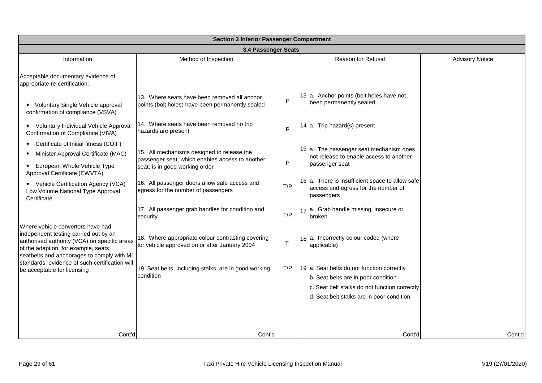|                                                                                                                                                                                                                  | <b>Section 3 Interior Passenger Compartment</b>                                                    |              |                                                                                                                                                                                 |                        |  |  |
|------------------------------------------------------------------------------------------------------------------------------------------------------------------------------------------------------------------|----------------------------------------------------------------------------------------------------|--------------|---------------------------------------------------------------------------------------------------------------------------------------------------------------------------------|------------------------|--|--|
|                                                                                                                                                                                                                  | 3.4 Passenger Seats                                                                                |              |                                                                                                                                                                                 |                        |  |  |
| Information                                                                                                                                                                                                      | Method of Inspection                                                                               |              | Reason for Refusal                                                                                                                                                              | <b>Advisory Notice</b> |  |  |
| Acceptable documentary evidence of<br>appropriate re-certification:-                                                                                                                                             |                                                                                                    |              |                                                                                                                                                                                 |                        |  |  |
| • Voluntary Single Vehicle approval<br>confirmation of compliance (VSVA)                                                                                                                                         | 13. Where seats have been removed all anchor<br>points (bolt holes) have been permanently sealed   | P            | 13 a. Anchor points (bolt holes have not<br>been permanently sealed                                                                                                             |                        |  |  |
| • Voluntary Individual Vehicle Approval<br>Confirmation of Compliance (VIVA)                                                                                                                                     | 14. Where seats have been removed no trip<br>hazards are present                                   | P            | 14 a. Trip hazard(s) present                                                                                                                                                    |                        |  |  |
| Certificate of Initial fitness (COIF)                                                                                                                                                                            |                                                                                                    |              |                                                                                                                                                                                 |                        |  |  |
| Minister Approval Certificate (MAC)                                                                                                                                                                              | 15. All mechanisms designed to release the                                                         |              | 15 a. The passenger seat mechanism does<br>not release to enable access to another                                                                                              |                        |  |  |
| European Whole Vehicle Type<br>$\bullet$<br>Approval Certificate (EWVTA)                                                                                                                                         | passenger seat, which enables access to another<br>seat, is in good working order                  | P            | passenger seat                                                                                                                                                                  |                        |  |  |
| • Vehicle Certification Agency (VCA)<br>Low Volume National Type Approval<br>Certificate                                                                                                                         | 16. All passenger doors allow safe access and<br>egress for the number of passengers               | T/P          | 16 a. There is insufficient space to allow safe<br>access and egress for the number of<br>passengers                                                                            |                        |  |  |
|                                                                                                                                                                                                                  | 17. All passenger grab handles for condition and<br>security                                       | T/P          | 17 a. Grab handle missing, insecure or<br>broken                                                                                                                                |                        |  |  |
| Where vehicle converters have had<br>independent testing carried out by an<br>authorised authority (VCA) on specific areas<br>of the adaption, for example, seats,<br>seatbelts and anchorages to comply with M1 | 18. Where appropriate colour contrasting covering<br>for vehicle approved on or after January 2004 | $\mathsf{T}$ | 18 a. Incorrectly colour coded (where<br>applicable)                                                                                                                            |                        |  |  |
| standards, evidence of such certification will<br>be acceptable for licensing                                                                                                                                    | 19. Seat belts, including stalks, are in good working<br>condition                                 | T/P          | 19 a. Seat belts do not function correctly<br>b. Seat belts are in poor condition<br>c. Seat belt stalks do not function correctly<br>d. Seat belt stalks are in poor condition |                        |  |  |
|                                                                                                                                                                                                                  |                                                                                                    |              |                                                                                                                                                                                 |                        |  |  |
| Cont'd                                                                                                                                                                                                           | Cont'd                                                                                             |              | Cont'd                                                                                                                                                                          | Cont'd                 |  |  |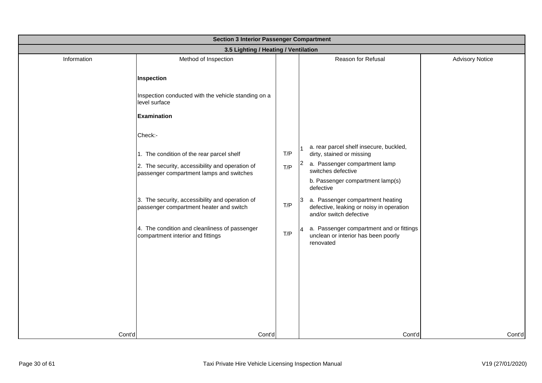|             | <b>Section 3 Interior Passenger Compartment</b>                                             |     |                                                                                                           |                        |  |  |
|-------------|---------------------------------------------------------------------------------------------|-----|-----------------------------------------------------------------------------------------------------------|------------------------|--|--|
|             | 3.5 Lighting / Heating / Ventilation                                                        |     |                                                                                                           |                        |  |  |
| Information | Method of Inspection                                                                        |     | Reason for Refusal                                                                                        | <b>Advisory Notice</b> |  |  |
|             | Inspection                                                                                  |     |                                                                                                           |                        |  |  |
|             | Inspection conducted with the vehicle standing on a<br>level surface                        |     |                                                                                                           |                        |  |  |
|             | <b>Examination</b>                                                                          |     |                                                                                                           |                        |  |  |
|             | Check:-                                                                                     |     |                                                                                                           |                        |  |  |
|             | 1. The condition of the rear parcel shelf                                                   | T/P | a. rear parcel shelf insecure, buckled,<br>dirty, stained or missing                                      |                        |  |  |
|             | 2. The security, accessibility and operation of<br>passenger compartment lamps and switches | T/P | 2 a. Passenger compartment lamp<br>switches defective                                                     |                        |  |  |
|             |                                                                                             |     | b. Passenger compartment lamp(s)<br>defective                                                             |                        |  |  |
|             | 3. The security, accessibility and operation of<br>passenger compartment heater and switch  | T/P | 3 a. Passenger compartment heating<br>defective, leaking or noisy in operation<br>and/or switch defective |                        |  |  |
|             | 4. The condition and cleanliness of passenger<br>compartment interior and fittings          | T/P | a. Passenger compartment and or fittings<br><b>14</b><br>unclean or interior has been poorly<br>renovated |                        |  |  |
|             |                                                                                             |     |                                                                                                           |                        |  |  |
|             |                                                                                             |     |                                                                                                           |                        |  |  |
|             |                                                                                             |     |                                                                                                           |                        |  |  |
|             |                                                                                             |     |                                                                                                           |                        |  |  |
| Cont'd      | Cont'd                                                                                      |     | Cont'd                                                                                                    | Cont'd                 |  |  |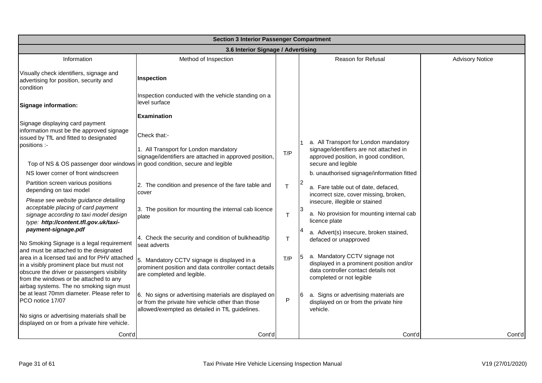|                                                                                                                                                                                    | <b>Section 3 Interior Passenger Compartment</b>                                                                                                               |              |                                                                                                                                              |                        |  |  |
|------------------------------------------------------------------------------------------------------------------------------------------------------------------------------------|---------------------------------------------------------------------------------------------------------------------------------------------------------------|--------------|----------------------------------------------------------------------------------------------------------------------------------------------|------------------------|--|--|
|                                                                                                                                                                                    | 3.6 Interior Signage / Advertising                                                                                                                            |              |                                                                                                                                              |                        |  |  |
| Information                                                                                                                                                                        | Method of Inspection                                                                                                                                          |              | <b>Reason for Refusal</b>                                                                                                                    | <b>Advisory Notice</b> |  |  |
| Visually check identifiers, signage and<br>advertising for position, security and<br>condition                                                                                     | Inspection                                                                                                                                                    |              |                                                                                                                                              |                        |  |  |
| Signage information:                                                                                                                                                               | Inspection conducted with the vehicle standing on a<br>level surface                                                                                          |              |                                                                                                                                              |                        |  |  |
|                                                                                                                                                                                    | <b>Examination</b>                                                                                                                                            |              |                                                                                                                                              |                        |  |  |
| Signage displaying card payment<br>information must be the approved signage<br>issued by TfL and fitted to designated<br>positions :-                                              | Check that:-<br>1. All Transport for London mandatory<br>signage/identifiers are attached in approved position,                                               | T/P          | a. All Transport for London mandatory<br>signage/identifiers are not attached in<br>approved position, in good condition,                    |                        |  |  |
| Top of NS & OS passenger door windows in good condition, secure and legible                                                                                                        |                                                                                                                                                               |              | secure and legible                                                                                                                           |                        |  |  |
| NS lower corner of front windscreen                                                                                                                                                |                                                                                                                                                               |              | b. unauthorised signage/information fitted                                                                                                   |                        |  |  |
| Partition screen various positions<br>depending on taxi model                                                                                                                      | 2. The condition and presence of the fare table and<br>cover                                                                                                  | $\mathsf{T}$ | a. Fare table out of date, defaced,<br>incorrect size, cover missing, broken,                                                                |                        |  |  |
| Please see website guidance detailing<br>acceptable placing of card payment<br>signage according to taxi model design<br>type: http://content.tfl.gov.uk/taxi-                     | 3. The position for mounting the internal cab licence<br>plate                                                                                                | т            | insecure, illegible or stained<br>a. No provision for mounting internal cab<br>licence plate                                                 |                        |  |  |
| payment-signage.pdf<br>No Smoking Signage is a legal requirement<br>and must be attached to the designated                                                                         | 4. Check the security and condition of bulkhead/tip<br>seat adverts                                                                                           | т            | a. Advert(s) insecure, broken stained,<br>defaced or unapproved                                                                              |                        |  |  |
| area in a licensed taxi and for PHV attached<br>in a visibly prominent place but must not<br>obscure the driver or passengers visibility<br>from the windows or be attached to any | 5. Mandatory CCTV signage is displayed in a<br>prominent position and data controller contact details<br>are completed and legible.                           | T/P          | a. Mandatory CCTV signage not<br>displayed in a prominent position and/or<br>data controller contact details not<br>completed or not legible |                        |  |  |
| airbag systems. The no smoking sign must<br>be at least 70mm diameter. Please refer to<br>PCO notice 17/07<br>No signs or advertising materials shall be                           | 6. No signs or advertising materials are displayed on<br>or from the private hire vehicle other than those<br>allowed/exempted as detailed in TfL guidelines. | P            | a. Signs or advertising materials are<br>6<br>displayed on or from the private hire<br>vehicle.                                              |                        |  |  |
| displayed on or from a private hire vehicle.                                                                                                                                       |                                                                                                                                                               |              |                                                                                                                                              |                        |  |  |
| Cont'd                                                                                                                                                                             | Cont'd                                                                                                                                                        |              | Cont'd                                                                                                                                       | Cont'd                 |  |  |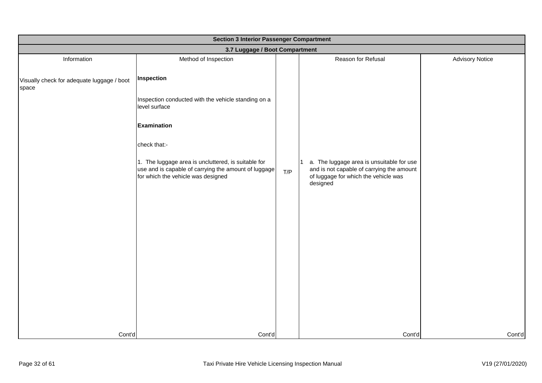| <b>Section 3 Interior Passenger Compartment</b>     |                                                                                                                                                   |     |                                                                                                                                            |                        |  |
|-----------------------------------------------------|---------------------------------------------------------------------------------------------------------------------------------------------------|-----|--------------------------------------------------------------------------------------------------------------------------------------------|------------------------|--|
|                                                     | 3.7 Luggage / Boot Compartment                                                                                                                    |     |                                                                                                                                            |                        |  |
| Information                                         | Method of Inspection                                                                                                                              |     | Reason for Refusal                                                                                                                         | <b>Advisory Notice</b> |  |
| Visually check for adequate luggage / boot<br>space | Inspection                                                                                                                                        |     |                                                                                                                                            |                        |  |
|                                                     | Inspection conducted with the vehicle standing on a<br>level surface                                                                              |     |                                                                                                                                            |                        |  |
|                                                     | <b>Examination</b>                                                                                                                                |     |                                                                                                                                            |                        |  |
|                                                     | check that:-                                                                                                                                      |     |                                                                                                                                            |                        |  |
|                                                     | 1. The luggage area is uncluttered, is suitable for<br>use and is capable of carrying the amount of luggage<br>for which the vehicle was designed | T/P | a. The luggage area is unsuitable for use<br>and is not capable of carrying the amount<br>of luggage for which the vehicle was<br>designed |                        |  |
|                                                     |                                                                                                                                                   |     |                                                                                                                                            |                        |  |
|                                                     |                                                                                                                                                   |     |                                                                                                                                            |                        |  |
|                                                     |                                                                                                                                                   |     |                                                                                                                                            |                        |  |
| Cont'd                                              | Cont'd                                                                                                                                            |     | Cont'd                                                                                                                                     | Cont'd                 |  |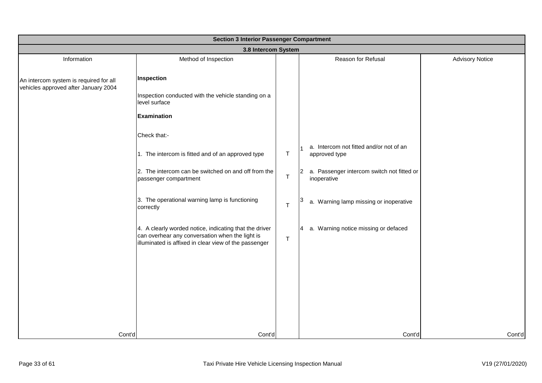|                                        | <b>Section 3 Interior Passenger Compartment</b>                                                                                                                    |              |                                                                |                        |  |  |
|----------------------------------------|--------------------------------------------------------------------------------------------------------------------------------------------------------------------|--------------|----------------------------------------------------------------|------------------------|--|--|
|                                        | 3.8 Intercom System                                                                                                                                                |              |                                                                |                        |  |  |
| Information                            | Method of Inspection                                                                                                                                               |              | Reason for Refusal                                             | <b>Advisory Notice</b> |  |  |
| An intercom system is required for all | Inspection                                                                                                                                                         |              |                                                                |                        |  |  |
| vehicles approved after January 2004   | Inspection conducted with the vehicle standing on a<br>level surface                                                                                               |              |                                                                |                        |  |  |
|                                        | <b>Examination</b>                                                                                                                                                 |              |                                                                |                        |  |  |
|                                        | Check that:-                                                                                                                                                       |              |                                                                |                        |  |  |
|                                        | 1. The intercom is fitted and of an approved type                                                                                                                  | $\top$       | a. Intercom not fitted and/or not of an<br>approved type       |                        |  |  |
|                                        | 2. The intercom can be switched on and off from the<br>passenger compartment                                                                                       | $\top$       | a. Passenger intercom switch not fitted or<br>2<br>inoperative |                        |  |  |
|                                        | 3. The operational warning lamp is functioning<br>correctly                                                                                                        | $\mathsf{T}$ | a. Warning lamp missing or inoperative                         |                        |  |  |
|                                        | 4. A clearly worded notice, indicating that the driver<br>can overhear any conversation when the light is<br>illuminated is affixed in clear view of the passenger | $\top$       | 4 a. Warning notice missing or defaced                         |                        |  |  |
|                                        |                                                                                                                                                                    |              |                                                                |                        |  |  |
|                                        |                                                                                                                                                                    |              |                                                                |                        |  |  |
|                                        |                                                                                                                                                                    |              |                                                                |                        |  |  |
|                                        |                                                                                                                                                                    |              |                                                                |                        |  |  |
| Cont'd                                 | Cont'd                                                                                                                                                             |              | Cont'd                                                         | Cont'd                 |  |  |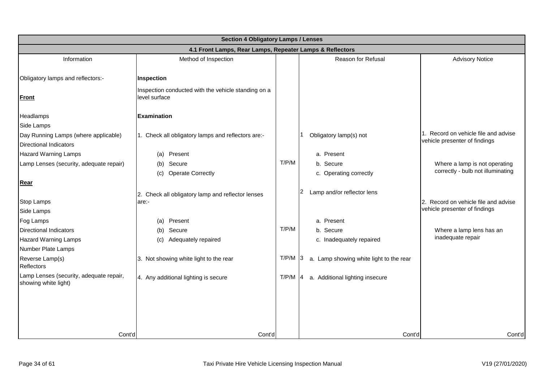|                                                                 | <b>Section 4 Obligatory Lamps / Lenses</b>                           |           |                                         |                                      |  |  |
|-----------------------------------------------------------------|----------------------------------------------------------------------|-----------|-----------------------------------------|--------------------------------------|--|--|
|                                                                 | 4.1 Front Lamps, Rear Lamps, Repeater Lamps & Reflectors             |           |                                         |                                      |  |  |
| Information                                                     | Method of Inspection                                                 |           | Reason for Refusal                      | <b>Advisory Notice</b>               |  |  |
|                                                                 |                                                                      |           |                                         |                                      |  |  |
| Obligatory lamps and reflectors:-                               | Inspection                                                           |           |                                         |                                      |  |  |
| <b>Front</b>                                                    | Inspection conducted with the vehicle standing on a<br>level surface |           |                                         |                                      |  |  |
| Headlamps                                                       | <b>Examination</b>                                                   |           |                                         |                                      |  |  |
| Side Lamps                                                      |                                                                      |           |                                         |                                      |  |  |
| Day Running Lamps (where applicable)                            | 1. Check all obligatory lamps and reflectors are:-                   |           | Obligatory lamp(s) not                  | 1. Record on vehicle file and advise |  |  |
| <b>Directional Indicators</b>                                   |                                                                      |           |                                         | vehicle presenter of findings        |  |  |
| <b>Hazard Warning Lamps</b>                                     | Present<br>(a)                                                       |           | a. Present                              |                                      |  |  |
| Lamp Lenses (security, adequate repair)                         | Secure<br>(b)                                                        | T/P/M     | b. Secure                               | Where a lamp is not operating        |  |  |
|                                                                 | <b>Operate Correctly</b><br>(c)                                      |           | c. Operating correctly                  | correctly - bulb not illuminating    |  |  |
| Rear                                                            |                                                                      |           |                                         |                                      |  |  |
|                                                                 | 2. Check all obligatory lamp and reflector lenses                    |           | 2<br>Lamp and/or reflector lens         |                                      |  |  |
| <b>Stop Lamps</b>                                               | are:-                                                                |           |                                         | 2. Record on vehicle file and advise |  |  |
| Side Lamps                                                      |                                                                      |           |                                         | vehicle presenter of findings        |  |  |
| Fog Lamps                                                       | Present<br>(a)                                                       |           | a. Present                              |                                      |  |  |
| <b>Directional Indicators</b>                                   | Secure<br>(b)                                                        | T/P/M     | b. Secure                               | Where a lamp lens has an             |  |  |
| <b>Hazard Warning Lamps</b>                                     | Adequately repaired<br>(c)                                           |           | c. Inadequately repaired                | inadequate repair                    |  |  |
| Number Plate Lamps                                              |                                                                      |           |                                         |                                      |  |  |
| Reverse Lamp(s)<br>Reflectors                                   | 3. Not showing white light to the rear                               | $T/P/M$ 3 | a. Lamp showing white light to the rear |                                      |  |  |
| Lamp Lenses (security, adequate repair,<br>showing white light) | 4. Any additional lighting is secure                                 | $T/P/M$ 4 | a. Additional lighting insecure         |                                      |  |  |
|                                                                 |                                                                      |           |                                         |                                      |  |  |
|                                                                 |                                                                      |           |                                         |                                      |  |  |
|                                                                 |                                                                      |           |                                         |                                      |  |  |
| Cont'd                                                          | Cont'd                                                               |           | Cont'd                                  | Cont'd                               |  |  |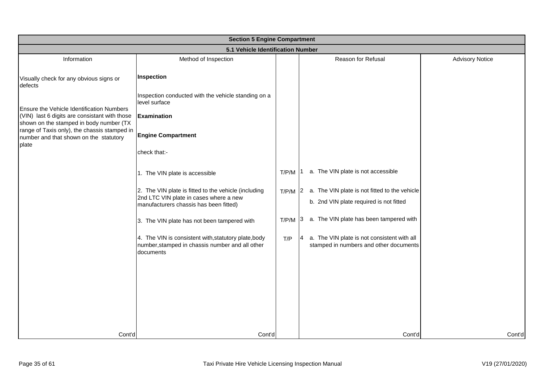|                                                                                                 | <b>Section 5 Engine Compartment</b>                                                                                                      |       |                                                                                                 |                        |  |  |
|-------------------------------------------------------------------------------------------------|------------------------------------------------------------------------------------------------------------------------------------------|-------|-------------------------------------------------------------------------------------------------|------------------------|--|--|
|                                                                                                 | 5.1 Vehicle Identification Number                                                                                                        |       |                                                                                                 |                        |  |  |
| Information                                                                                     | Method of Inspection                                                                                                                     |       | Reason for Refusal                                                                              | <b>Advisory Notice</b> |  |  |
| Visually check for any obvious signs or<br>defects                                              | Inspection                                                                                                                               |       |                                                                                                 |                        |  |  |
| Ensure the Vehicle Identification Numbers                                                       | Inspection conducted with the vehicle standing on a<br>level surface                                                                     |       |                                                                                                 |                        |  |  |
| (VIN) last 6 digits are consistant with those<br>shown on the stamped in body number (TX        | <b>Examination</b>                                                                                                                       |       |                                                                                                 |                        |  |  |
| range of Taxis only), the chassis stamped in<br>number and that shown on the statutory<br>plate | <b>Engine Compartment</b>                                                                                                                |       |                                                                                                 |                        |  |  |
|                                                                                                 | check that:-                                                                                                                             |       |                                                                                                 |                        |  |  |
|                                                                                                 | 1. The VIN plate is accessible                                                                                                           | T/P/M | a. The VIN plate is not accessible                                                              |                        |  |  |
|                                                                                                 | 2. The VIN plate is fitted to the vehicle (including<br>2nd LTC VIN plate in cases where a new<br>manufacturers chassis has been fitted) | T/P/M | a. The VIN plate is not fitted to the vehicle<br>I2.<br>b. 2nd VIN plate required is not fitted |                        |  |  |
|                                                                                                 | 3. The VIN plate has not been tampered with                                                                                              | T/P/M | a. The VIN plate has been tampered with<br>13.                                                  |                        |  |  |
|                                                                                                 | 4. The VIN is consistent with, statutory plate, body<br>number, stamped in chassis number and all other<br>documents                     | T/P   | a. The VIN plate is not consistent with all<br>stamped in numbers and other documents           |                        |  |  |
|                                                                                                 |                                                                                                                                          |       |                                                                                                 |                        |  |  |
|                                                                                                 |                                                                                                                                          |       |                                                                                                 |                        |  |  |
|                                                                                                 |                                                                                                                                          |       |                                                                                                 |                        |  |  |
| Cont'd                                                                                          | Cont'd                                                                                                                                   |       | Cont'd                                                                                          | Cont'd                 |  |  |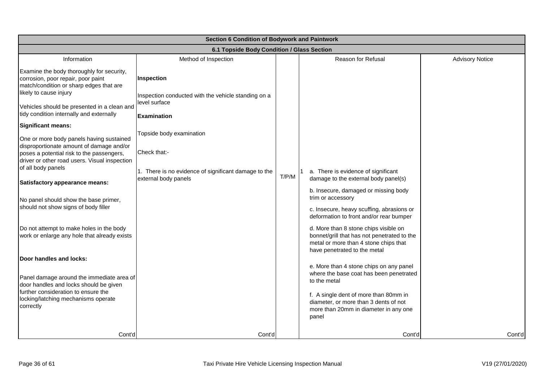| Section 6 Condition of Bodywork and Paintwork                                                                                                                                      |                                                                              |       |                                                                                                                                                               |                        |  |  |
|------------------------------------------------------------------------------------------------------------------------------------------------------------------------------------|------------------------------------------------------------------------------|-------|---------------------------------------------------------------------------------------------------------------------------------------------------------------|------------------------|--|--|
|                                                                                                                                                                                    | 6.1 Topside Body Condition / Glass Section                                   |       |                                                                                                                                                               |                        |  |  |
| Information                                                                                                                                                                        | Method of Inspection                                                         |       | <b>Reason for Refusal</b>                                                                                                                                     | <b>Advisory Notice</b> |  |  |
| Examine the body thoroughly for security,<br>corrosion, poor repair, poor paint<br>match/condition or sharp edges that are<br>likely to cause injury                               | Inspection<br>Inspection conducted with the vehicle standing on a            |       |                                                                                                                                                               |                        |  |  |
| Vehicles should be presented in a clean and<br>tidy condition internally and externally                                                                                            | level surface<br>Examination                                                 |       |                                                                                                                                                               |                        |  |  |
| Significant means:                                                                                                                                                                 |                                                                              |       |                                                                                                                                                               |                        |  |  |
| One or more body panels having sustained<br>disproportionate amount of damage and/or<br>poses a potential risk to the passengers,<br>driver or other road users. Visual inspection | Topside body examination<br>Check that:-                                     |       |                                                                                                                                                               |                        |  |  |
| of all body panels<br>Satisfactory appearance means:                                                                                                                               | 1. There is no evidence of significant damage to the<br>external body panels | T/P/M | a. There is evidence of significant<br>damage to the external body panel(s)                                                                                   |                        |  |  |
| No panel should show the base primer,<br>should not show signs of body filler                                                                                                      |                                                                              |       | b. Insecure, damaged or missing body<br>trim or accessory<br>c. Insecure, heavy scuffing, abrasions or<br>deformation to front and/or rear bumper             |                        |  |  |
| Do not attempt to make holes in the body<br>work or enlarge any hole that already exists                                                                                           |                                                                              |       | d. More than 8 stone chips visible on<br>bonnet/grill that has not penetrated to the<br>metal or more than 4 stone chips that<br>have penetrated to the metal |                        |  |  |
| Door handles and locks:                                                                                                                                                            |                                                                              |       |                                                                                                                                                               |                        |  |  |
| Panel damage around the immediate area of<br>door handles and locks should be given<br>further consideration to ensure the                                                         |                                                                              |       | e. More than 4 stone chips on any panel<br>where the base coat has been penetrated<br>to the metal                                                            |                        |  |  |
| locking/latching mechanisms operate<br>correctly                                                                                                                                   |                                                                              |       | f. A single dent of more than 80mm in<br>diameter, or more than 3 dents of not<br>more than 20mm in diameter in any one<br>panel                              |                        |  |  |
| Cont'd                                                                                                                                                                             | Cont'd                                                                       |       | Cont'd                                                                                                                                                        | Cont'd                 |  |  |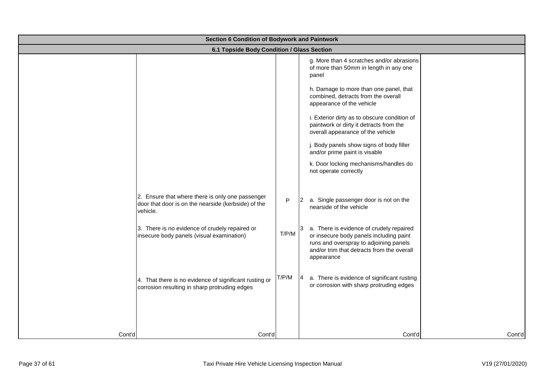|        | Section 6 Condition of Bodywork and Paintwork                                                                       |       |                                                                                                                                                                                           |  |  |  |
|--------|---------------------------------------------------------------------------------------------------------------------|-------|-------------------------------------------------------------------------------------------------------------------------------------------------------------------------------------------|--|--|--|
|        | 6.1 Topside Body Condition / Glass Section                                                                          |       |                                                                                                                                                                                           |  |  |  |
|        |                                                                                                                     |       | g. More than 4 scratches and/or abrasions<br>of more than 50mm in length in any one<br>panel                                                                                              |  |  |  |
|        |                                                                                                                     |       | h. Damage to more than one panel, that<br>combined, detracts from the overall<br>appearance of the vehicle                                                                                |  |  |  |
|        |                                                                                                                     |       | i. Exterior dirty as to obscure condition of<br>paintwork or dirty it detracts from the<br>overall appearance of the vehicle                                                              |  |  |  |
|        |                                                                                                                     |       | j. Body panels show signs of body filler<br>and/or prime paint is visable                                                                                                                 |  |  |  |
|        |                                                                                                                     |       | k. Door locking mechanisms/handles do<br>not operate correctly                                                                                                                            |  |  |  |
|        | 2. Ensure that where there is only one passenger<br>door that door is on the nearside (kerbside) of the<br>vehicle. | P     | a. Single passenger door is not on the<br>12<br>nearside of the vehicle                                                                                                                   |  |  |  |
|        | 3. There is no evidence of crudely repaired or<br>insecure body panels (visual examination)                         | T/P/M | a. There is evidence of crudely repaired<br>or insecure body panels including paint<br>runs and overspray to adjoining panels<br>and/or trim that detracts from the overall<br>appearance |  |  |  |
|        | 4. That there is no evidence of significant rusting or<br>corrosion resulting in sharp protruding edges             | T/P/M | a. There is evidence of significant rusting<br>14<br>or corrosion with sharp protruding edges                                                                                             |  |  |  |
| Cont'd | Cont'd                                                                                                              |       | Cont'd<br>Cont'd                                                                                                                                                                          |  |  |  |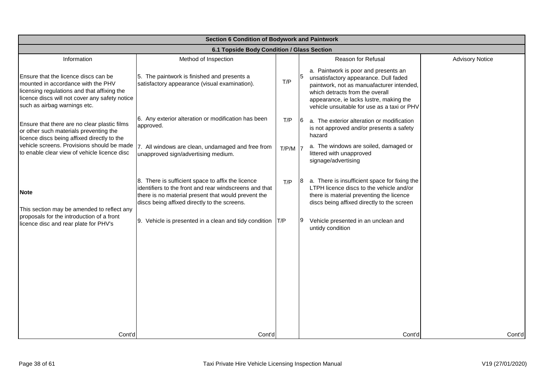|                                                                                                                                                                                                             | Section 6 Condition of Bodywork and Paintwork                                                                                                                                                                      |           |    |                                                                                                                                                                                                                                                         |                        |  |
|-------------------------------------------------------------------------------------------------------------------------------------------------------------------------------------------------------------|--------------------------------------------------------------------------------------------------------------------------------------------------------------------------------------------------------------------|-----------|----|---------------------------------------------------------------------------------------------------------------------------------------------------------------------------------------------------------------------------------------------------------|------------------------|--|
|                                                                                                                                                                                                             | 6.1 Topside Body Condition / Glass Section                                                                                                                                                                         |           |    |                                                                                                                                                                                                                                                         |                        |  |
| Information                                                                                                                                                                                                 | Method of Inspection                                                                                                                                                                                               |           |    | <b>Reason for Refusal</b>                                                                                                                                                                                                                               | <b>Advisory Notice</b> |  |
| Ensure that the licence discs can be<br>mounted in accordance with the PHV<br>licensing regulations and that affixing the<br>licence discs will not cover any safety notice<br>such as airbag warnings etc. | 5. The paintwork is finished and presents a<br>satisfactory appearance (visual examination).                                                                                                                       | T/P       |    | a. Paintwork is poor and presents an<br>unsatisfactory appearance. Dull faded<br>paintwork, not as manuafacturer intended,<br>which detracts from the overall<br>appearance, ie lacks lustre, making the<br>vehicle unsuitable for use as a taxi or PHV |                        |  |
| Ensure that there are no clear plastic films<br>or other such materials preventing the<br>licence discs being affixed directly to the                                                                       | 6. Any exterior alteration or modification has been<br>approved.                                                                                                                                                   | T/P       | 16 | a. The exterior alteration or modification<br>is not approved and/or presents a safety<br>hazard                                                                                                                                                        |                        |  |
| vehicle screens. Provisions should be made<br>to enable clear view of vehicle licence disc                                                                                                                  | 7. All windows are clean, undamaged and free from<br>unapproved sign/advertising medium.                                                                                                                           | $T/P/M$ 7 |    | a. The windows are soiled, damaged or<br>littered with unapproved<br>signage/advertising                                                                                                                                                                |                        |  |
| <b>Note</b><br>This section may be amended to reflect any<br>proposals for the introduction of a front                                                                                                      | 8. There is sufficient space to affix the licence<br>identifiers to the front and rear windscreens and that<br>there is no material present that would prevent the<br>discs being affixed directly to the screens. | T/P       |    | a. There is insufficient space for fixing the<br>LTPH licence discs to the vehicle and/or<br>there is material preventing the licence<br>discs being affixed directly to the screen                                                                     |                        |  |
| licence disc and rear plate for PHV's                                                                                                                                                                       | 9. Vehicle is presented in a clean and tidy condition   T/P                                                                                                                                                        |           | 19 | Vehicle presented in an unclean and<br>untidy condition                                                                                                                                                                                                 |                        |  |
|                                                                                                                                                                                                             |                                                                                                                                                                                                                    |           |    |                                                                                                                                                                                                                                                         |                        |  |
|                                                                                                                                                                                                             |                                                                                                                                                                                                                    |           |    |                                                                                                                                                                                                                                                         |                        |  |
| Cont'd                                                                                                                                                                                                      | Cont'd                                                                                                                                                                                                             |           |    | Cont'd                                                                                                                                                                                                                                                  | Cont'd                 |  |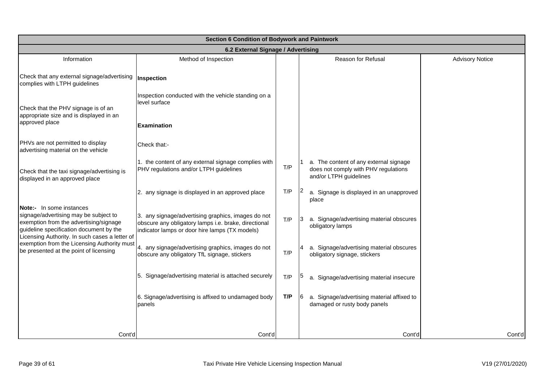|                                                                                                                                                                                                          | Section 6 Condition of Bodywork and Paintwork                                                                                                                |     |                                                                                                          |                        |  |  |
|----------------------------------------------------------------------------------------------------------------------------------------------------------------------------------------------------------|--------------------------------------------------------------------------------------------------------------------------------------------------------------|-----|----------------------------------------------------------------------------------------------------------|------------------------|--|--|
|                                                                                                                                                                                                          | 6.2 External Signage / Advertising                                                                                                                           |     |                                                                                                          |                        |  |  |
| Information                                                                                                                                                                                              | Method of Inspection                                                                                                                                         |     | Reason for Refusal                                                                                       | <b>Advisory Notice</b> |  |  |
| Check that any external signage/advertising<br>complies with LTPH guidelines                                                                                                                             | Inspection                                                                                                                                                   |     |                                                                                                          |                        |  |  |
| Check that the PHV signage is of an<br>appropriate size and is displayed in an                                                                                                                           | Inspection conducted with the vehicle standing on a<br>level surface                                                                                         |     |                                                                                                          |                        |  |  |
| approved place                                                                                                                                                                                           | <b>Examination</b>                                                                                                                                           |     |                                                                                                          |                        |  |  |
| PHVs are not permitted to display<br>advertising material on the vehicle                                                                                                                                 | Check that:-                                                                                                                                                 |     |                                                                                                          |                        |  |  |
| Check that the taxi signage/advertising is<br>displayed in an approved place                                                                                                                             | 1. the content of any external signage complies with<br>PHV regulations and/or LTPH guidelines                                                               | T/P | a. The content of any external signage<br>does not comply with PHV regulations<br>and/or LTPH guidelines |                        |  |  |
|                                                                                                                                                                                                          | 2. any signage is displayed in an approved place                                                                                                             | T/P | a. Signage is displayed in an unapproved<br>place                                                        |                        |  |  |
| Note:- In some instances<br>signage/advertising may be subject to<br>exemption from the advertising/signage<br>guideline specification document by the<br>Licensing Authority. In such cases a letter of | 3. any signage/advertising graphics, images do not<br>obscure any obligatory lamps i.e. brake, directional<br>indicator lamps or door hire lamps (TX models) | T/P | a. Signage/advertising material obscures<br>obligatory lamps                                             |                        |  |  |
| exemption from the Licensing Authority must<br>be presented at the point of licensing                                                                                                                    | 4. any signage/advertising graphics, images do not<br>obscure any obligatory TfL signage, stickers                                                           | T/P | a. Signage/advertising material obscures<br>obligatory signage, stickers                                 |                        |  |  |
|                                                                                                                                                                                                          | 5. Signage/advertising material is attached securely                                                                                                         | T/P | a. Signage/advertising material insecure                                                                 |                        |  |  |
|                                                                                                                                                                                                          | 6. Signage/advertising is affixed to undamaged body<br>panels                                                                                                | T/P | a. Signage/advertising material affixed to<br>damaged or rusty body panels                               |                        |  |  |
|                                                                                                                                                                                                          |                                                                                                                                                              |     |                                                                                                          |                        |  |  |
| Cont'd                                                                                                                                                                                                   | Cont'd                                                                                                                                                       |     | Cont'd                                                                                                   | Cont'd                 |  |  |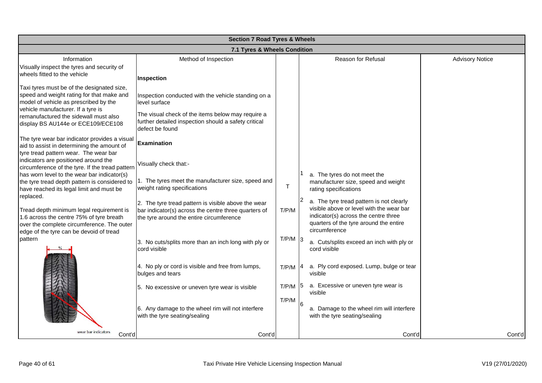|                                                                                                                                                                                                                 | <b>Section 7 Road Tyres &amp; Wheels</b>                                                                                                                                          |                    |                                                                                                               |                        |  |
|-----------------------------------------------------------------------------------------------------------------------------------------------------------------------------------------------------------------|-----------------------------------------------------------------------------------------------------------------------------------------------------------------------------------|--------------------|---------------------------------------------------------------------------------------------------------------|------------------------|--|
|                                                                                                                                                                                                                 | 7.1 Tyres & Wheels Condition                                                                                                                                                      |                    |                                                                                                               |                        |  |
| Information<br>Visually inspect the tyres and security of<br>wheels fitted to the vehicle                                                                                                                       | Method of Inspection<br>Inspection                                                                                                                                                |                    | Reason for Refusal                                                                                            | <b>Advisory Notice</b> |  |
| Taxi tyres must be of the designated size,<br>speed and weight rating for that make and<br>model of vehicle as prescribed by the<br>vehicle manufacturer. If a tyre is<br>remanufactured the sidewall must also | Inspection conducted with the vehicle standing on a<br>level surface<br>The visual check of the items below may require a<br>further detailed inspection should a safety critical |                    |                                                                                                               |                        |  |
| display BS AU144e or ECE109/ECE108<br>The tyre wear bar indicator provides a visual<br>aid to assist in determining the amount of<br>tyre tread pattern wear. The wear bar                                      | defect be found<br><b>Examination</b>                                                                                                                                             |                    |                                                                                                               |                        |  |
| indicators are positioned around the<br>circumference of the tyre. If the tread pattern<br>has worn level to the wear bar indicator(s)<br>the tyre tread depth pattern is considered to                         | Visually check that:-<br>1. The tyres meet the manufacturer size, speed and                                                                                                       |                    | a. The tyres do not meet the<br>manufacturer size, speed and weight                                           |                        |  |
| have reached its legal limit and must be<br>replaced.<br>Tread depth minimum legal requirement is                                                                                                               | weight rating specifications<br>2. The tyre tread pattern is visible above the wear                                                                                               | т<br>T/P/M         | rating specifications<br>a. The tyre tread pattern is not clearly<br>visible above or level with the wear bar |                        |  |
| 1.6 across the centre 75% of tyre breath<br>over the complete circumference. The outer<br>edge of the tyre can be devoid of tread                                                                               | bar indicator(s) across the centre three quarters of<br>the tyre around the entire circumference                                                                                  |                    | indicator(s) across the centre three<br>quarters of the tyre around the entire<br>circumference               |                        |  |
| pattern                                                                                                                                                                                                         | 3. No cuts/splits more than an inch long with ply or<br>cord visible                                                                                                              | $T/P/M$ 3          | a. Cuts/splits exceed an inch with ply or<br>cord visible                                                     |                        |  |
|                                                                                                                                                                                                                 | 4. No ply or cord is visible and free from lumps,<br>bulges and tears                                                                                                             | $T/P/M$ $ 4$       | a. Ply cord exposed. Lump, bulge or tear<br>visible                                                           |                        |  |
|                                                                                                                                                                                                                 | 5. No excessive or uneven tyre wear is visible                                                                                                                                    | T/P/M<br>$T/P/M$ 6 | a. Excessive or uneven tyre wear is<br>visible<br>a. Damage to the wheel rim will interfere                   |                        |  |
|                                                                                                                                                                                                                 | 6. Any damage to the wheel rim will not interfere<br>with the tyre seating/sealing                                                                                                |                    | with the tyre seating/sealing                                                                                 |                        |  |
| wear bar indicators<br>Cont'd                                                                                                                                                                                   | Cont'd                                                                                                                                                                            |                    | Cont'd                                                                                                        | Cont'd                 |  |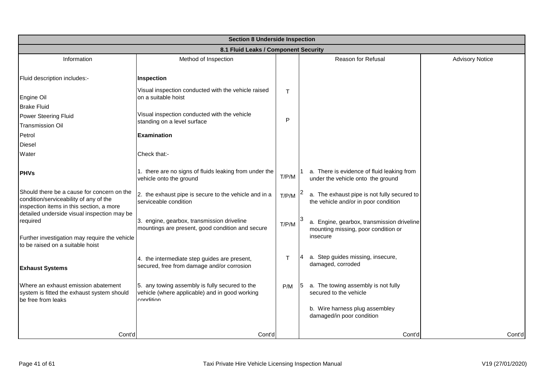|                                                                                                                                  | <b>Section 8 Underside Inspection</b>                                                                         |       |                                                                                     |                        |  |  |
|----------------------------------------------------------------------------------------------------------------------------------|---------------------------------------------------------------------------------------------------------------|-------|-------------------------------------------------------------------------------------|------------------------|--|--|
|                                                                                                                                  | 8.1 Fluid Leaks / Component Security                                                                          |       |                                                                                     |                        |  |  |
| Information                                                                                                                      | Method of Inspection                                                                                          |       | Reason for Refusal                                                                  | <b>Advisory Notice</b> |  |  |
| Fluid description includes:-                                                                                                     | Inspection                                                                                                    |       |                                                                                     |                        |  |  |
| Engine Oil<br><b>Brake Fluid</b>                                                                                                 | Visual inspection conducted with the vehicle raised<br>on a suitable hoist                                    | T     |                                                                                     |                        |  |  |
| Power Steering Fluid<br><b>Transmission Oil</b>                                                                                  | Visual inspection conducted with the vehicle<br>standing on a level surface                                   | P     |                                                                                     |                        |  |  |
| Petrol                                                                                                                           | <b>Examination</b>                                                                                            |       |                                                                                     |                        |  |  |
| <b>Diesel</b>                                                                                                                    |                                                                                                               |       |                                                                                     |                        |  |  |
| Water                                                                                                                            | Check that:-                                                                                                  |       |                                                                                     |                        |  |  |
| <b>IPHVs</b>                                                                                                                     | 1. there are no signs of fluids leaking from under the<br>vehicle onto the ground                             | T/P/M | 1 a. There is evidence of fluid leaking from<br>under the vehicle onto the ground   |                        |  |  |
| Should there be a cause for concern on the<br>condition/serviceability of any of the<br>inspection items in this section, a more | 2. the exhaust pipe is secure to the vehicle and in a<br>serviceable condition                                | T/P/M | a. The exhaust pipe is not fully secured to<br>the vehicle and/or in poor condition |                        |  |  |
| detailed underside visual inspection may be<br>required                                                                          | 3. engine, gearbox, transmission driveline<br>mountings are present, good condition and secure                | T/P/M | a. Engine, gearbox, transmission driveline                                          |                        |  |  |
| Further investigation may require the vehicle<br>to be raised on a suitable hoist                                                |                                                                                                               |       | mounting missing, poor condition or<br>insecure                                     |                        |  |  |
| <b>Exhaust Systems</b>                                                                                                           | 4. the intermediate step guides are present,<br>secured, free from damage and/or corrosion                    | т     | a. Step guides missing, insecure,<br>14<br>damaged, corroded                        |                        |  |  |
| Where an exhaust emission abatement<br>system is fitted the exhaust system should<br>be free from leaks                          | 5. any towing assembly is fully secured to the<br>vehicle (where applicable) and in good working<br>condition | P/M   | a. The towing assembly is not fully<br>secured to the vehicle                       |                        |  |  |
|                                                                                                                                  |                                                                                                               |       | b. Wire harness plug assembley<br>damaged/in poor condition                         |                        |  |  |
| Cont'd                                                                                                                           | Cont'd                                                                                                        |       | Cont'd                                                                              | Cont'd                 |  |  |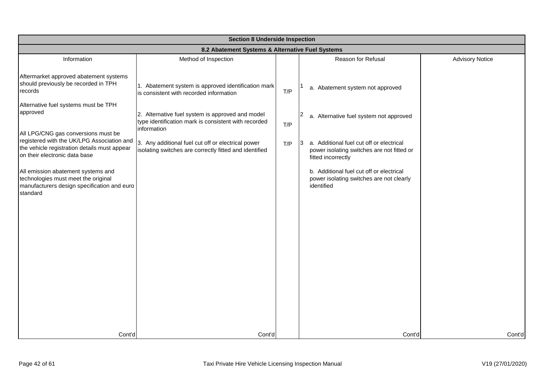|                                                                                                                                      | <b>Section 8 Underside Inspection</b>                                                                                   |     |                                                                                                                     |                        |  |  |
|--------------------------------------------------------------------------------------------------------------------------------------|-------------------------------------------------------------------------------------------------------------------------|-----|---------------------------------------------------------------------------------------------------------------------|------------------------|--|--|
|                                                                                                                                      | 8.2 Abatement Systems & Alternative Fuel Systems                                                                        |     |                                                                                                                     |                        |  |  |
| Information                                                                                                                          | Method of Inspection                                                                                                    |     | Reason for Refusal                                                                                                  | <b>Advisory Notice</b> |  |  |
| Aftermarket approved abatement systems<br>should previously be recorded in TPH<br>records                                            | 1. Abatement system is approved identification mark<br>is consistent with recorded information                          | T/P | a. Abatement system not approved                                                                                    |                        |  |  |
| Alternative fuel systems must be TPH<br>approved<br>All LPG/CNG gas conversions must be                                              | 2. Alternative fuel system is approved and model<br>type identification mark is consistent with recorded<br>information | T/P | a. Alternative fuel system not approved                                                                             |                        |  |  |
| registered with the UK/LPG Association and<br>the vehicle registration details must appear<br>on their electronic data base          | 3. Any additional fuel cut off or electrical power<br>isolating switches are correctly fitted and identified            | T/P | a. Additional fuel cut off or electrical<br>13.<br>power isolating switches are not fitted or<br>fitted incorrectly |                        |  |  |
| All emission abatement systems and<br>technologies must meet the original<br>manufacturers design specification and euro<br>standard |                                                                                                                         |     | b. Additional fuel cut off or electrical<br>power isolating switches are not clearly<br>identified                  |                        |  |  |
|                                                                                                                                      |                                                                                                                         |     |                                                                                                                     |                        |  |  |
|                                                                                                                                      |                                                                                                                         |     |                                                                                                                     |                        |  |  |
|                                                                                                                                      |                                                                                                                         |     |                                                                                                                     |                        |  |  |
|                                                                                                                                      |                                                                                                                         |     |                                                                                                                     |                        |  |  |
| Cont'd                                                                                                                               | Cont'd                                                                                                                  |     | Cont'd                                                                                                              | Cont'd                 |  |  |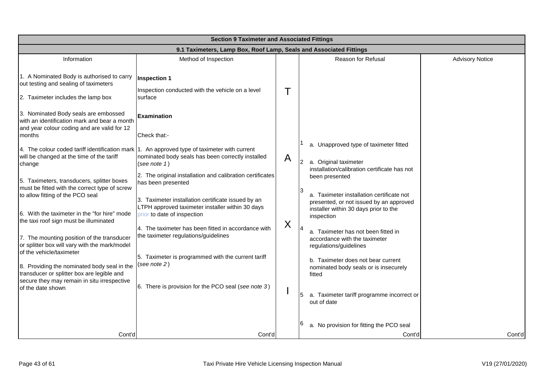| <b>Section 9 Taximeter and Associated Fittings</b>                                                                                            |                                                                                                                                                                                           |   |                                                                                                                                                 |                        |  |
|-----------------------------------------------------------------------------------------------------------------------------------------------|-------------------------------------------------------------------------------------------------------------------------------------------------------------------------------------------|---|-------------------------------------------------------------------------------------------------------------------------------------------------|------------------------|--|
|                                                                                                                                               | 9.1 Taximeters, Lamp Box, Roof Lamp, Seals and Associated Fittings                                                                                                                        |   |                                                                                                                                                 |                        |  |
| Information                                                                                                                                   | Method of Inspection                                                                                                                                                                      |   | Reason for Refusal                                                                                                                              | <b>Advisory Notice</b> |  |
| 1. A Nominated Body is authorised to carry<br>out testing and sealing of taximeters<br>2. Taximeter includes the lamp box                     | <b>Inspection 1</b><br>Inspection conducted with the vehicle on a level<br>surface                                                                                                        |   |                                                                                                                                                 |                        |  |
| 3. Nominated Body seals are embossed<br>with an identification mark and bear a month<br>and year colour coding and are valid for 12<br>months | <b>Examination</b><br>Check that:-                                                                                                                                                        |   |                                                                                                                                                 |                        |  |
| will be changed at the time of the tariff<br>change                                                                                           | 4. The colour coded tariff identification mark 1. An approved type of taximeter with current<br>nominated body seals has been correctly installed<br>(see note $1)$                       | A | a. Unapproved type of taximeter fitted<br>a. Original taximeter<br>installation/calibration certificate has not                                 |                        |  |
| 5. Taximeters, transducers, splitter boxes<br>must be fitted with the correct type of screw<br>to allow fitting of the PCO seal               | 2. The original installation and calibration certificates<br>has been presented<br>3. Taximeter installation certificate issued by an<br>LTPH approved taximeter installer within 30 days |   | been presented<br>a. Taximeter installation certificate not<br>presented, or not issued by an approved<br>installer within 30 days prior to the |                        |  |
| 6. With the taximeter in the "for hire" mode<br>the taxi roof sign must be illuminated                                                        | prior to date of inspection                                                                                                                                                               | X | inspection                                                                                                                                      |                        |  |
| 7. The mounting position of the transducer<br>or splitter box will vary with the mark/model<br>of the vehicle/taximeter                       | 4. The taximeter has been fitted in accordance with<br>the taximeter regulations/guidelines                                                                                               |   | a. Taximeter has not been fitted in<br>accordance with the taximeter<br>regulations/guidelines                                                  |                        |  |
| 8. Providing the nominated body seal in the<br>transducer or splitter box are legible and<br>secure they may remain in situ irrespective      | 5. Taximeter is programmed with the current tariff<br>(see note 2)                                                                                                                        |   | b. Taximeter does not bear current<br>nominated body seals or is insecurely<br>fitted                                                           |                        |  |
| of the date shown                                                                                                                             | 6. There is provision for the PCO seal (see note 3)                                                                                                                                       |   | a. Taximeter tariff programme incorrect or<br>15.<br>out of date                                                                                |                        |  |
| Cont'd                                                                                                                                        | Cont'd                                                                                                                                                                                    |   | a. No provision for fitting the PCO seal<br>Cont'd                                                                                              | Cont'd                 |  |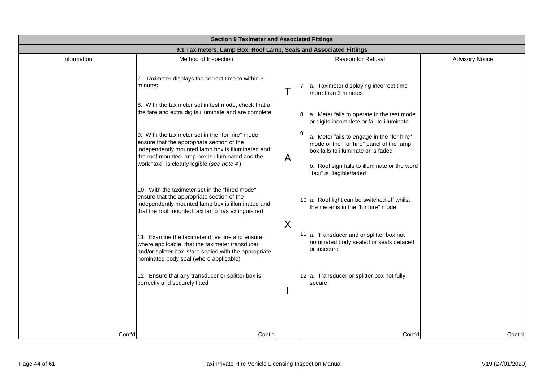| <b>Section 9 Taximeter and Associated Fittings</b> |                                                                                                                                                                                                         |   |                                                                                                                               |                        |  |
|----------------------------------------------------|---------------------------------------------------------------------------------------------------------------------------------------------------------------------------------------------------------|---|-------------------------------------------------------------------------------------------------------------------------------|------------------------|--|
|                                                    | 9.1 Taximeters, Lamp Box, Roof Lamp, Seals and Associated Fittings                                                                                                                                      |   |                                                                                                                               |                        |  |
| Information                                        | Method of Inspection                                                                                                                                                                                    |   | Reason for Refusal                                                                                                            | <b>Advisory Notice</b> |  |
|                                                    | 7. Taximeter displays the correct time to within 3<br>minutes                                                                                                                                           | T | a. Taximeter displaying incorrect time<br>more than 3 minutes                                                                 |                        |  |
|                                                    | 8. With the taximeter set in test mode, check that all<br>the fare and extra digits illuminate and are complete                                                                                         |   | a. Meter fails to operate in the test mode<br>or digits incomplete or fail to illuminate                                      |                        |  |
|                                                    | 9. With the taximeter set in the "for hire" mode<br>ensure that the appropriate section of the<br>independently mounted lamp box is illuminated and<br>the roof mounted lamp box is illuminated and the |   | a. Meter fails to engage in the "for hire"<br>mode or the "for hire" panel of the lamp<br>box fails to illuminate or is faded |                        |  |
|                                                    | work "taxi" is clearly legible (see note 4)                                                                                                                                                             | A | b. Roof sign fails to illuminate or the word<br>"taxi" is illegible/faded                                                     |                        |  |
|                                                    | 10. With the taximeter set in the "hired mode"<br>ensure that the appropriate section of the<br>independently mounted lamp box is illuminated and<br>that the roof mounted taxi lamp has extinguished   |   | 10 a. Roof light can be switched off whilst<br>the meter is in the "for hire" mode                                            |                        |  |
|                                                    | 11. Examine the taximeter drive line and ensure,<br>where applicable, that the taximeter transducer<br>and/or splitter box is/are sealed with the appropriate<br>nominated body seal (where applicable) | X | 11 a. Transducer and or splitter box not<br>nominated body sealed or seals defaced<br>or insecure                             |                        |  |
|                                                    | 12. Ensure that any transducer or splitter box is<br>correctly and securely fitted                                                                                                                      |   | 12 a. Transducer or splitter box not fully<br>secure                                                                          |                        |  |
| Cont'd                                             | Cont'd                                                                                                                                                                                                  |   | Cont'd                                                                                                                        | Cont'd                 |  |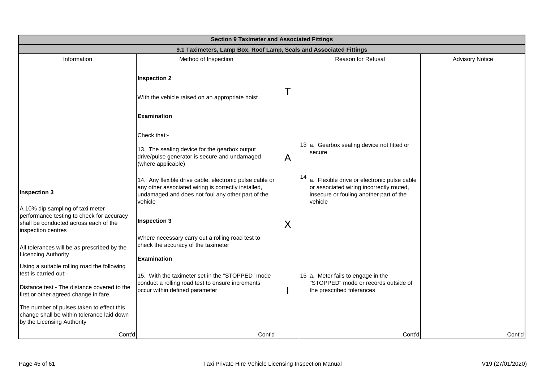|                                                                                                                                              | <b>Section 9 Taximeter and Associated Fittings</b>                                                                                                                             |   |                                                                                                                                               |                        |  |  |
|----------------------------------------------------------------------------------------------------------------------------------------------|--------------------------------------------------------------------------------------------------------------------------------------------------------------------------------|---|-----------------------------------------------------------------------------------------------------------------------------------------------|------------------------|--|--|
|                                                                                                                                              | 9.1 Taximeters, Lamp Box, Roof Lamp, Seals and Associated Fittings                                                                                                             |   |                                                                                                                                               |                        |  |  |
| Information                                                                                                                                  | Method of Inspection                                                                                                                                                           |   | Reason for Refusal                                                                                                                            | <b>Advisory Notice</b> |  |  |
|                                                                                                                                              | <b>Inspection 2</b>                                                                                                                                                            |   |                                                                                                                                               |                        |  |  |
|                                                                                                                                              | With the vehicle raised on an appropriate hoist                                                                                                                                |   |                                                                                                                                               |                        |  |  |
|                                                                                                                                              | <b>Examination</b>                                                                                                                                                             |   |                                                                                                                                               |                        |  |  |
|                                                                                                                                              | Check that:-                                                                                                                                                                   |   |                                                                                                                                               |                        |  |  |
|                                                                                                                                              | 13. The sealing device for the gearbox output<br>drive/pulse generator is secure and undamaged<br>(where applicable)                                                           | A | 13 a. Gearbox sealing device not fitted or<br>secure                                                                                          |                        |  |  |
| <b>Inspection 3</b>                                                                                                                          | 14. Any flexible drive cable, electronic pulse cable or<br>any other associated wiring is correctly installed,<br>undamaged and does not foul any other part of the<br>vehicle |   | a. Flexible drive or electronic pulse cable<br>or associated wiring incorrectly routed,<br>insecure or fouling another part of the<br>vehicle |                        |  |  |
| A 10% dip sampling of taxi meter<br>performance testing to check for accuracy<br>shall be conducted across each of the<br>inspection centres | <b>Inspection 3</b>                                                                                                                                                            | X |                                                                                                                                               |                        |  |  |
| All tolerances will be as prescribed by the<br><b>Licencing Authority</b>                                                                    | Where necessary carry out a rolling road test to<br>check the accuracy of the taximeter<br><b>Examination</b>                                                                  |   |                                                                                                                                               |                        |  |  |
| Using a suitable rolling road the following<br>test is carried out:-                                                                         | 15. With the taximeter set in the "STOPPED" mode                                                                                                                               |   | 15 a. Meter fails to engage in the                                                                                                            |                        |  |  |
| Distance test - The distance covered to the<br>first or other agreed change in fare.                                                         | conduct a rolling road test to ensure increments<br>occur within defined parameter                                                                                             |   | "STOPPED" mode or records outside of<br>the prescribed tolerances                                                                             |                        |  |  |
| The number of pulses taken to effect this<br>change shall be within tolerance laid down<br>by the Licensing Authority                        |                                                                                                                                                                                |   |                                                                                                                                               |                        |  |  |
| Cont'd                                                                                                                                       | Cont'd                                                                                                                                                                         |   | Cont'd                                                                                                                                        | Cont'd                 |  |  |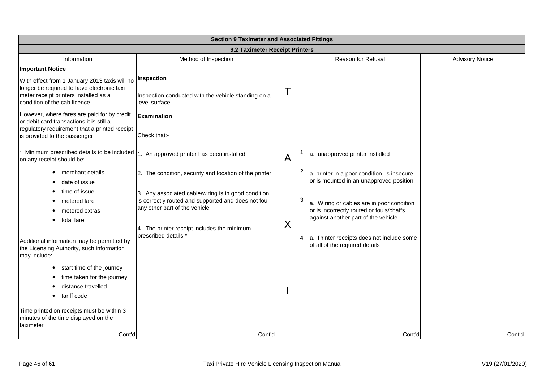|                                                                                                                                                                                                                                                                                                                  | <b>Section 9 Taximeter and Associated Fittings</b>                                                                                                                                                                     |              |                                                                                                                                                                                                                     |                        |  |
|------------------------------------------------------------------------------------------------------------------------------------------------------------------------------------------------------------------------------------------------------------------------------------------------------------------|------------------------------------------------------------------------------------------------------------------------------------------------------------------------------------------------------------------------|--------------|---------------------------------------------------------------------------------------------------------------------------------------------------------------------------------------------------------------------|------------------------|--|
|                                                                                                                                                                                                                                                                                                                  | 9.2 Taximeter Receipt Printers                                                                                                                                                                                         |              |                                                                                                                                                                                                                     |                        |  |
| Information<br><b>Important Notice</b>                                                                                                                                                                                                                                                                           | Method of Inspection                                                                                                                                                                                                   |              | Reason for Refusal                                                                                                                                                                                                  | <b>Advisory Notice</b> |  |
| With effect from 1 January 2013 taxis will no<br>longer be required to have electronic taxi<br>meter receipt printers installed as a<br>condition of the cab licence<br>However, where fares are paid for by credit<br>or debit card transactions it is still a<br>regulatory requirement that a printed receipt | Inspection<br>Inspection conducted with the vehicle standing on a<br>level surface<br><b>Examination</b>                                                                                                               | Т            |                                                                                                                                                                                                                     |                        |  |
| is provided to the passenger<br>on any receipt should be:<br>merchant details<br>date of issue<br>time of issue                                                                                                                                                                                                  | Check that:-<br>Minimum prescribed details to be included  1. An approved printer has been installed<br>2. The condition, security and location of the printer<br>3. Any associated cable/wiring is in good condition, | $\mathsf{A}$ | a. unapproved printer installed<br>a. printer in a poor condition, is insecure<br>or is mounted in an unapproved position                                                                                           |                        |  |
| metered fare<br>metered extras<br>total fare<br>Additional information may be permitted by<br>the Licensing Authority, such information<br>may include:                                                                                                                                                          | is correctly routed and supported and does not foul<br>any other part of the vehicle<br>4. The printer receipt includes the minimum<br>prescribed details *                                                            | X            | a. Wiring or cables are in poor condition<br>or is incorrectly routed or fouls/chaffs<br>against another part of the vehicle<br>a. Printer receipts does not include some<br>I4 I<br>of all of the required details |                        |  |
| start time of the journey<br>$\bullet$<br>time taken for the journey<br>distance travelled<br>tariff code<br>Time printed on receipts must be within 3<br>minutes of the time displayed on the<br>taximeter<br>Cont'd                                                                                            | Cont'd                                                                                                                                                                                                                 |              | Cont'd                                                                                                                                                                                                              | Cont'd                 |  |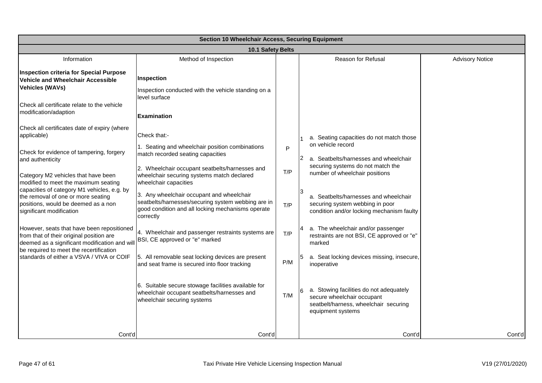| <b>Section 10 Wheelchair Access, Securing Equipment</b>                                                                                                                                                                             |                                                                                                                                                                   |     |                                                                     |                                                                                                                                     |                        |
|-------------------------------------------------------------------------------------------------------------------------------------------------------------------------------------------------------------------------------------|-------------------------------------------------------------------------------------------------------------------------------------------------------------------|-----|---------------------------------------------------------------------|-------------------------------------------------------------------------------------------------------------------------------------|------------------------|
|                                                                                                                                                                                                                                     | 10.1 Safety Belts                                                                                                                                                 |     |                                                                     |                                                                                                                                     |                        |
| Information                                                                                                                                                                                                                         | Method of Inspection                                                                                                                                              |     |                                                                     | Reason for Refusal                                                                                                                  | <b>Advisory Notice</b> |
| <b>Inspection criteria for Special Purpose</b><br>Vehicle and Wheelchair Accessible<br><b>Vehicles (WAVs)</b>                                                                                                                       | Inspection<br>Inspection conducted with the vehicle standing on a<br>level surface                                                                                |     |                                                                     |                                                                                                                                     |                        |
| Check all certificate relate to the vehicle<br>modification/adaption                                                                                                                                                                | <b>Examination</b>                                                                                                                                                |     |                                                                     |                                                                                                                                     |                        |
| Check all certificates date of expiry (where<br>applicable)                                                                                                                                                                         | Check that:-                                                                                                                                                      |     |                                                                     | a. Seating capacities do not match those<br>on vehicle record                                                                       |                        |
| Check for evidence of tampering, forgery<br>and authenticity                                                                                                                                                                        | 1. Seating and wheelchair position combinations<br>match recorded seating capacities                                                                              | P   | 12                                                                  | a. Seatbelts/harnesses and wheelchair                                                                                               |                        |
| Category M2 vehicles that have been<br>modified to meet the maximum seating<br>capacities of category M1 vehicles, e.g. by<br>the removal of one or more seating<br>positions, would be deemed as a non<br>significant modification | 2. Wheelchair occupant seatbelts/harnesses and<br>wheelchair securing systems match declared<br>wheelchair capacities                                             | T/P | securing systems do not match the<br>number of wheelchair positions |                                                                                                                                     |                        |
|                                                                                                                                                                                                                                     | 3. Any wheelchair occupant and wheelchair<br>seatbelts/harnesses/securing system webbing are in<br>good condition and all locking mechanisms operate<br>correctly | T/P |                                                                     | a. Seatbelts/harnesses and wheelchair<br>securing system webbing in poor<br>condition and/or locking mechanism faulty               |                        |
| However, seats that have been repositioned<br>from that of their original position are<br>deemed as a significant modification and will<br>be required to meet the recertification                                                  | 4. Wheelchair and passenger restraints systems are<br>BSI, CE approved or "e" marked                                                                              | T/P | marked                                                              | 4 a. The wheelchair and/or passenger<br>restraints are not BSI, CE approved or "e"                                                  |                        |
| standards of either a VSVA / VIVA or COIF                                                                                                                                                                                           | 5. All removable seat locking devices are present<br>and seat frame is secured into floor tracking                                                                | P/M | inoperative                                                         | a. Seat locking devices missing, insecure,                                                                                          |                        |
|                                                                                                                                                                                                                                     | 6. Suitable secure stowage facilities available for<br>wheelchair occupant seatbelts/harnesses and<br>wheelchair securing systems                                 | T/M |                                                                     | a. Stowing facilities do not adequately<br>secure wheelchair occupant<br>seatbelt/harness, wheelchair securing<br>equipment systems |                        |
| Cont'd                                                                                                                                                                                                                              | Cont'd                                                                                                                                                            |     |                                                                     | Cont'd                                                                                                                              | Cont'd                 |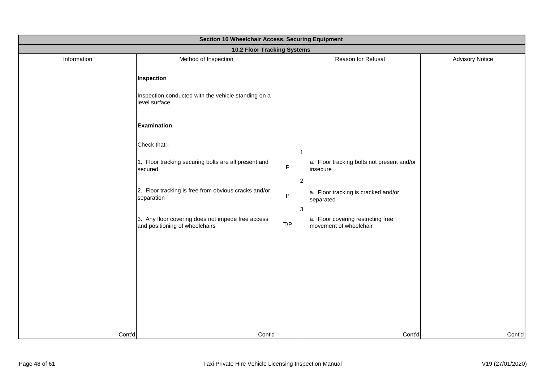|             | Section 10 Wheelchair Access, Securing Equipment                                    |         |                                                                     |                        |  |  |
|-------------|-------------------------------------------------------------------------------------|---------|---------------------------------------------------------------------|------------------------|--|--|
|             | 10.2 Floor Tracking Systems                                                         |         |                                                                     |                        |  |  |
| Information | Method of Inspection                                                                |         | Reason for Refusal                                                  | <b>Advisory Notice</b> |  |  |
|             | <b>Inspection</b>                                                                   |         |                                                                     |                        |  |  |
|             | Inspection conducted with the vehicle standing on a<br>level surface                |         |                                                                     |                        |  |  |
|             | <b>Examination</b>                                                                  |         |                                                                     |                        |  |  |
|             | Check that:-                                                                        |         |                                                                     |                        |  |  |
|             | 1. Floor tracking securing bolts are all present and<br>secured                     | $\sf P$ | a. Floor tracking bolts not present and/or<br>insecure              |                        |  |  |
|             | 2. Floor tracking is free from obvious cracks and/or<br>separation                  | $\sf P$ | $\vert$ 2<br>a. Floor tracking is cracked and/or<br>separated<br>13 |                        |  |  |
|             | 3. Any floor covering does not impede free access<br>and positioning of wheelchairs | T/P     | a. Floor covering restricting free<br>movement of wheelchair        |                        |  |  |
|             |                                                                                     |         |                                                                     |                        |  |  |
|             |                                                                                     |         |                                                                     |                        |  |  |
|             |                                                                                     |         |                                                                     |                        |  |  |
|             |                                                                                     |         |                                                                     |                        |  |  |
| Cont'd      | Cont'd                                                                              |         | Cont'd                                                              | Cont'd                 |  |  |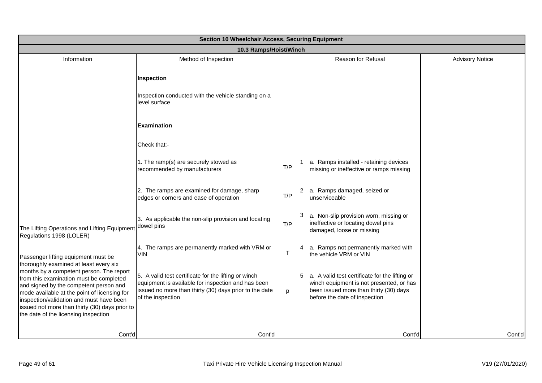|                                                                                                                                                                                                                                                                             | Section 10 Wheelchair Access, Securing Equipment                                                                                                                                          |     |                                                                                                                                                                       |                        |  |  |
|-----------------------------------------------------------------------------------------------------------------------------------------------------------------------------------------------------------------------------------------------------------------------------|-------------------------------------------------------------------------------------------------------------------------------------------------------------------------------------------|-----|-----------------------------------------------------------------------------------------------------------------------------------------------------------------------|------------------------|--|--|
|                                                                                                                                                                                                                                                                             | 10.3 Ramps/Hoist/Winch                                                                                                                                                                    |     |                                                                                                                                                                       |                        |  |  |
| Information                                                                                                                                                                                                                                                                 | Method of Inspection                                                                                                                                                                      |     | Reason for Refusal                                                                                                                                                    | <b>Advisory Notice</b> |  |  |
|                                                                                                                                                                                                                                                                             | Inspection                                                                                                                                                                                |     |                                                                                                                                                                       |                        |  |  |
|                                                                                                                                                                                                                                                                             | Inspection conducted with the vehicle standing on a<br>level surface                                                                                                                      |     |                                                                                                                                                                       |                        |  |  |
|                                                                                                                                                                                                                                                                             | <b>Examination</b>                                                                                                                                                                        |     |                                                                                                                                                                       |                        |  |  |
|                                                                                                                                                                                                                                                                             | Check that:-                                                                                                                                                                              |     |                                                                                                                                                                       |                        |  |  |
|                                                                                                                                                                                                                                                                             | 1. The ramp(s) are securely stowed as<br>recommended by manufacturers                                                                                                                     | T/P | a. Ramps installed - retaining devices<br>missing or ineffective or ramps missing                                                                                     |                        |  |  |
|                                                                                                                                                                                                                                                                             | 2. The ramps are examined for damage, sharp<br>edges or corners and ease of operation                                                                                                     | T/P | a. Ramps damaged, seized or<br>unserviceable                                                                                                                          |                        |  |  |
| The Lifting Operations and Lifting Equipment<br>Regulations 1998 (LOLER)                                                                                                                                                                                                    | 3. As applicable the non-slip provision and locating<br>dowel pins                                                                                                                        | T/P | a. Non-slip provision worn, missing or<br>ineffective or locating dowel pins<br>damaged, loose or missing                                                             |                        |  |  |
| Passenger lifting equipment must be<br>thoroughly examined at least every six                                                                                                                                                                                               | 4. The ramps are permanently marked with VRM or<br><b>VIN</b>                                                                                                                             | Τ   | a. Ramps not permanently marked with<br>the vehicle VRM or VIN                                                                                                        |                        |  |  |
| months by a competent person. The report<br>from this examination must be completed<br>and signed by the competent person and<br>mode available at the point of licensing for<br>inspection/validation and must have been<br>issued not more than thirty (30) days prior to | 5. A valid test certificate for the lifting or winch<br>equipment is available for inspection and has been<br>issued no more than thirty (30) days prior to the date<br>of the inspection | p   | a. A valid test certificate for the lifting or<br>winch equipment is not presented, or has<br>been issued more than thirty (30) days<br>before the date of inspection |                        |  |  |
| the date of the licensing inspection                                                                                                                                                                                                                                        |                                                                                                                                                                                           |     |                                                                                                                                                                       |                        |  |  |
| Cont'd                                                                                                                                                                                                                                                                      | Cont'd                                                                                                                                                                                    |     | Cont'd                                                                                                                                                                | Cont'd                 |  |  |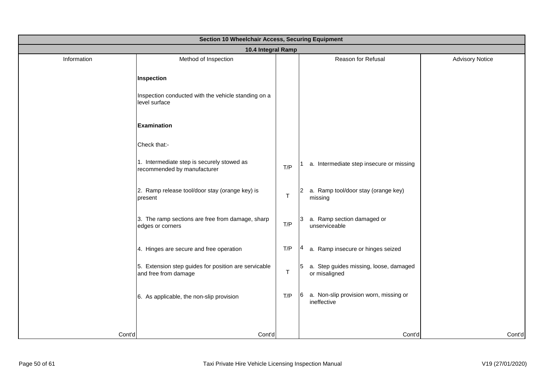| Section 10 Wheelchair Access, Securing Equipment |                                                                              |     |                                                           |                        |
|--------------------------------------------------|------------------------------------------------------------------------------|-----|-----------------------------------------------------------|------------------------|
|                                                  | 10.4 Integral Ramp                                                           |     |                                                           |                        |
| Information                                      | Method of Inspection                                                         |     | Reason for Refusal                                        | <b>Advisory Notice</b> |
|                                                  | Inspection                                                                   |     |                                                           |                        |
|                                                  | Inspection conducted with the vehicle standing on a<br>level surface         |     |                                                           |                        |
|                                                  | <b>Examination</b>                                                           |     |                                                           |                        |
|                                                  | Check that:-                                                                 |     |                                                           |                        |
|                                                  | 1. Intermediate step is securely stowed as<br>recommended by manufacturer    | T/P | a. Intermediate step insecure or missing                  |                        |
|                                                  | 2. Ramp release tool/door stay (orange key) is<br>present                    | т   | a. Ramp tool/door stay (orange key)<br>2<br>missing       |                        |
|                                                  | 3. The ramp sections are free from damage, sharp<br>edges or corners         | T/P | a. Ramp section damaged or<br>3<br>unserviceable          |                        |
|                                                  | 4. Hinges are secure and free operation                                      | T/P | a. Ramp insecure or hinges seized                         |                        |
|                                                  | 5. Extension step guides for position are servicable<br>and free from damage | т   | 5 a. Step guides missing, loose, damaged<br>or misaligned |                        |
|                                                  | 6. As applicable, the non-slip provision                                     | T/P | 6 a. Non-slip provision worn, missing or<br>ineffective   |                        |
|                                                  |                                                                              |     |                                                           |                        |
| Cont'd                                           | Cont'd                                                                       |     | Cont'd                                                    | Cont'd                 |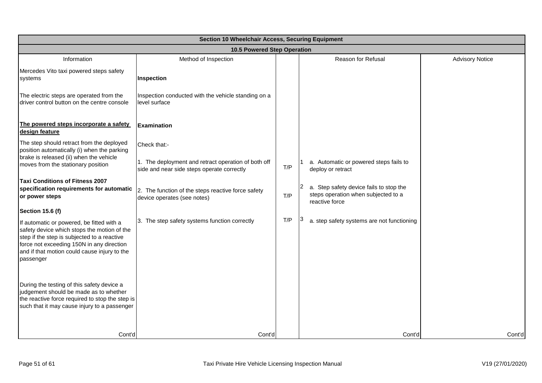|                                                                                                                                                                                                                                                   | <b>Section 10 Wheelchair Access, Securing Equipment</b>                                           |     |                                                                                                  |                        |  |  |
|---------------------------------------------------------------------------------------------------------------------------------------------------------------------------------------------------------------------------------------------------|---------------------------------------------------------------------------------------------------|-----|--------------------------------------------------------------------------------------------------|------------------------|--|--|
|                                                                                                                                                                                                                                                   | 10.5 Powered Step Operation                                                                       |     |                                                                                                  |                        |  |  |
| Information                                                                                                                                                                                                                                       | Method of Inspection                                                                              |     | Reason for Refusal                                                                               | <b>Advisory Notice</b> |  |  |
| Mercedes Vito taxi powered steps safety<br>systems                                                                                                                                                                                                | Inspection                                                                                        |     |                                                                                                  |                        |  |  |
| The electric steps are operated from the<br>driver control button on the centre console                                                                                                                                                           | Inspection conducted with the vehicle standing on a<br>level surface                              |     |                                                                                                  |                        |  |  |
| The powered steps incorporate a safety<br>design feature                                                                                                                                                                                          | <b>Examination</b>                                                                                |     |                                                                                                  |                        |  |  |
| The step should retract from the deployed<br>position automatically (i) when the parking                                                                                                                                                          | Check that:-                                                                                      |     |                                                                                                  |                        |  |  |
| brake is released (ii) when the vehicle<br>moves from the stationary position                                                                                                                                                                     | 1. The deployment and retract operation of both off<br>side and near side steps operate correctly | T/P | a. Automatic or powered steps fails to<br>deploy or retract                                      |                        |  |  |
| Taxi Conditions of Fitness 2007<br>specification requirements for automatic<br>or power steps                                                                                                                                                     | 2. The function of the steps reactive force safety<br>device operates (see notes)                 | T/P | a. Step safety device fails to stop the<br>steps operation when subjected to a<br>reactive force |                        |  |  |
| <b>Section 15.6 (f)</b>                                                                                                                                                                                                                           |                                                                                                   |     |                                                                                                  |                        |  |  |
| If automatic or powered, be fitted with a<br>safety device which stops the motion of the<br>step if the step is subjected to a reactive<br>force not exceeding 150N in any direction<br>and if that motion could cause injury to the<br>passenger | 3. The step safety systems function correctly                                                     | T/P | a. step safety systems are not functioning                                                       |                        |  |  |
| During the testing of this safety device a<br>judgement should be made as to whether<br>the reactive force required to stop the step is<br>such that it may cause injury to a passenger                                                           |                                                                                                   |     |                                                                                                  |                        |  |  |
| Cont'd                                                                                                                                                                                                                                            | Cont'd                                                                                            |     | Cont'd                                                                                           | Cont'd                 |  |  |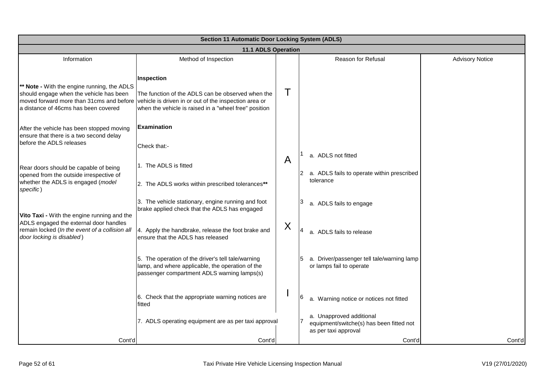|                                                                                                                                                                            | <b>Section 11 Automatic Door Locking System (ADLS)</b>                                                                                                                            |   |                                                                                              |                        |  |  |
|----------------------------------------------------------------------------------------------------------------------------------------------------------------------------|-----------------------------------------------------------------------------------------------------------------------------------------------------------------------------------|---|----------------------------------------------------------------------------------------------|------------------------|--|--|
|                                                                                                                                                                            | 11.1 ADLS Operation                                                                                                                                                               |   |                                                                                              |                        |  |  |
| Information                                                                                                                                                                | Method of Inspection                                                                                                                                                              |   | Reason for Refusal                                                                           | <b>Advisory Notice</b> |  |  |
| ** Note - With the engine running, the ADLS<br>should engage when the vehicle has been<br>moved forward more than 31cms and before<br>a distance of 46cms has been covered | Inspection<br>The function of the ADLS can be observed when the<br>vehicle is driven in or out of the inspection area or<br>when the vehicle is raised in a "wheel free" position |   |                                                                                              |                        |  |  |
| After the vehicle has been stopped moving<br>ensure that there is a two second delay<br>before the ADLS releases                                                           | <b>Examination</b><br>Check that:-                                                                                                                                                |   |                                                                                              |                        |  |  |
| Rear doors should be capable of being<br>opened from the outside irrespective of                                                                                           | 1. The ADLS is fitted                                                                                                                                                             | A | a. ADLS not fitted<br>a. ADLS fails to operate within prescribed<br>12.<br>tolerance         |                        |  |  |
| whether the ADLS is engaged (model<br>specific)                                                                                                                            | 2. The ADLS works within prescribed tolerances**                                                                                                                                  |   |                                                                                              |                        |  |  |
| Vito Taxi - With the engine running and the<br>ADLS engaged the external door handles                                                                                      | 3. The vehicle stationary, engine running and foot<br>brake applied check that the ADLS has engaged                                                                               |   | a. ADLS fails to engage                                                                      |                        |  |  |
| remain locked (In the event of a collision all<br>door locking is disabled)                                                                                                | 4. Apply the handbrake, release the foot brake and<br>ensure that the ADLS has released                                                                                           | X | a. ADLS fails to release                                                                     |                        |  |  |
|                                                                                                                                                                            | 5. The operation of the driver's tell tale/warning<br>lamp, and where applicable, the operation of the<br>passenger compartment ADLS warning lamps(s)                             |   | a. Driver/passenger tell tale/warning lamp<br>or lamps fail to operate                       |                        |  |  |
|                                                                                                                                                                            | 6. Check that the appropriate warning notices are<br>fitted                                                                                                                       |   | a. Warning notice or notices not fitted                                                      |                        |  |  |
|                                                                                                                                                                            | 7. ADLS operating equipment are as per taxi approval                                                                                                                              |   | a. Unapproved additional<br>equipment/switche(s) has been fitted not<br>as per taxi approval |                        |  |  |
| Cont'd                                                                                                                                                                     | Cont'd                                                                                                                                                                            |   | Cont'd                                                                                       | Cont'd                 |  |  |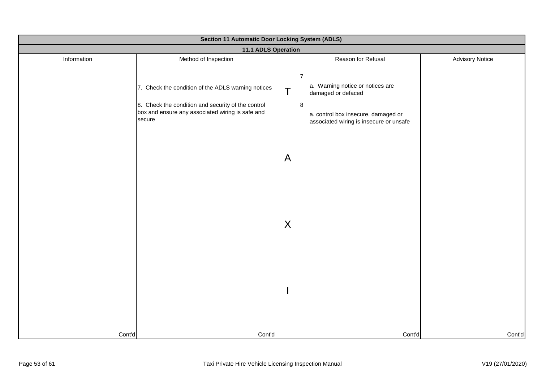| Section 11 Automatic Door Locking System (ADLS) |                                                                                                                                                                                                |              |                                                                                                                                |                        |  |
|-------------------------------------------------|------------------------------------------------------------------------------------------------------------------------------------------------------------------------------------------------|--------------|--------------------------------------------------------------------------------------------------------------------------------|------------------------|--|
|                                                 | 11.1 ADLS Operation                                                                                                                                                                            |              |                                                                                                                                |                        |  |
| Information                                     | Method of Inspection<br>7. Check the condition of the ADLS warning notices<br>8. Check the condition and security of the control<br>box and ensure any associated wiring is safe and<br>secure | T            | Reason for Refusal<br>17<br>a. Warning notice or notices are<br>damaged or defaced<br>8<br>a. control box insecure, damaged or | <b>Advisory Notice</b> |  |
|                                                 |                                                                                                                                                                                                | $\mathsf{A}$ | associated wiring is insecure or unsafe                                                                                        |                        |  |
|                                                 |                                                                                                                                                                                                | X            |                                                                                                                                |                        |  |
|                                                 |                                                                                                                                                                                                |              |                                                                                                                                |                        |  |
| Cont'd                                          | Cont'd                                                                                                                                                                                         |              | Cont'd                                                                                                                         | Cont'd                 |  |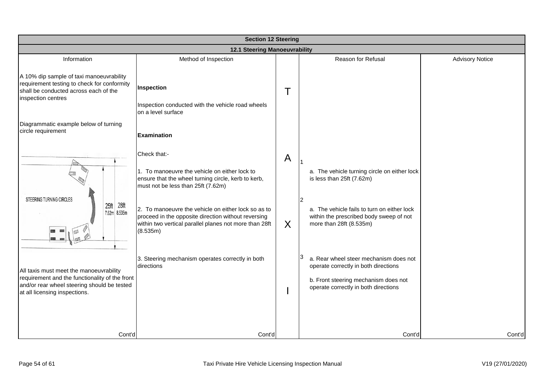|                                                                                                                                                                           | <b>Section 12 Steering</b>                                                                                                                                                                                                                                                                                                                     |        |                                                                                                                                                                                                     |                        |  |  |
|---------------------------------------------------------------------------------------------------------------------------------------------------------------------------|------------------------------------------------------------------------------------------------------------------------------------------------------------------------------------------------------------------------------------------------------------------------------------------------------------------------------------------------|--------|-----------------------------------------------------------------------------------------------------------------------------------------------------------------------------------------------------|------------------------|--|--|
|                                                                                                                                                                           | <b>12.1 Steering Manoeuvrability</b>                                                                                                                                                                                                                                                                                                           |        |                                                                                                                                                                                                     |                        |  |  |
| Information                                                                                                                                                               | Method of Inspection                                                                                                                                                                                                                                                                                                                           |        | Reason for Refusal                                                                                                                                                                                  | <b>Advisory Notice</b> |  |  |
| A 10% dip sample of taxi manoeuvrability<br>requirement testing to check for conformity<br>shall be conducted across each of the<br>inspection centres                    | Inspection<br>Inspection conducted with the vehicle road wheels<br>on a level surface                                                                                                                                                                                                                                                          |        |                                                                                                                                                                                                     |                        |  |  |
| Diagrammatic example below of turning<br>circle requirement                                                                                                               | <b>Examination</b>                                                                                                                                                                                                                                                                                                                             |        |                                                                                                                                                                                                     |                        |  |  |
| STEERING TURNING CIRCLES<br>28 <sup>ft</sup><br>25 <sup>ft</sup><br>7.62m 8.535m                                                                                          | Check that:-<br>1. To manoeuvre the vehicle on either lock to<br>ensure that the wheel turning circle, kerb to kerb,<br>must not be less than 25ft (7.62m)<br>2. To manoeuvre the vehicle on either lock so as to<br>proceed in the opposite direction without reversing<br>within two vertical parallel planes not more than 28ft<br>(8.535m) | A<br>X | a. The vehicle turning circle on either lock<br>is less than 25ft (7.62m)<br>2<br>a. The vehicle fails to turn on either lock<br>within the prescribed body sweep of not<br>more than 28ft (8.535m) |                        |  |  |
| All taxis must meet the manoeuvrability<br>requirement and the functionality of the front<br>and/or rear wheel steering should be tested<br>at all licensing inspections. | 3. Steering mechanism operates correctly in both<br>directions                                                                                                                                                                                                                                                                                 |        | 3<br>a. Rear wheel steer mechanism does not<br>operate correctly in both directions<br>b. Front steering mechanism does not<br>operate correctly in both directions                                 |                        |  |  |
| Cont'd                                                                                                                                                                    | Cont'd                                                                                                                                                                                                                                                                                                                                         |        | Cont'd                                                                                                                                                                                              | Cont'd                 |  |  |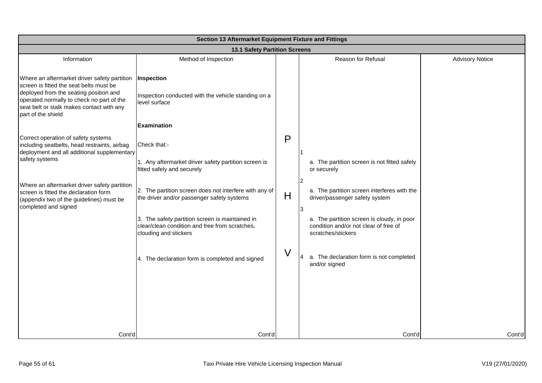| Section 13 Aftermarket Equipment Fixture and Fittings                                                                                                                                                                                             |                                                                                                                            |   |                                                                                                           |                        |
|---------------------------------------------------------------------------------------------------------------------------------------------------------------------------------------------------------------------------------------------------|----------------------------------------------------------------------------------------------------------------------------|---|-----------------------------------------------------------------------------------------------------------|------------------------|
| <b>13.1 Safety Partition Screens</b>                                                                                                                                                                                                              |                                                                                                                            |   |                                                                                                           |                        |
| Information                                                                                                                                                                                                                                       | Method of Inspection                                                                                                       |   | Reason for Refusal                                                                                        | <b>Advisory Notice</b> |
| Where an aftermarket driver safety partition<br>screen is fitted the seat belts must be<br>deployed from the seating position and<br>operated normally to check no part of the<br>seat belt or stalk makes contact with any<br>part of the shield | Inspection<br>Inspection conducted with the vehicle standing on a<br>level surface                                         |   |                                                                                                           |                        |
|                                                                                                                                                                                                                                                   | <b>Examination</b>                                                                                                         |   |                                                                                                           |                        |
| Correct operation of safety systems<br>including seatbelts, head restraints, airbag<br>deployment and all additional supplementary                                                                                                                | Check that:-                                                                                                               | P |                                                                                                           |                        |
| safety systems                                                                                                                                                                                                                                    | 1. Any aftermarket driver safety partition screen is<br>fitted safely and securely                                         |   | a. The partition screen is not fitted safely<br>or securely                                               |                        |
| Where an aftermarket driver safety partition<br>screen is fitted the declaration form<br>(appendix two of the guidelines) must be<br>completed and signed                                                                                         | 2. The partition screen does not interfere with any of<br>the driver and/or passenger safety systems                       | H | 2 <br>a. The partition screen interferes with the<br>driver/passenger safety system<br>$\vert$ 3          |                        |
|                                                                                                                                                                                                                                                   | 3. The safety partition screen is maintained in<br>clear/clean condition and free from scratches,<br>clouding and stickers |   | a. The partition screen is cloudy, in poor<br>condition and/or not clear of free of<br>scratches/stickers |                        |
|                                                                                                                                                                                                                                                   | 4. The declaration form is completed and signed                                                                            |   | a. The declaration form is not completed<br>and/or signed                                                 |                        |
|                                                                                                                                                                                                                                                   |                                                                                                                            |   |                                                                                                           |                        |
|                                                                                                                                                                                                                                                   |                                                                                                                            |   |                                                                                                           |                        |
| Cont'd                                                                                                                                                                                                                                            | Cont'd                                                                                                                     |   | Cont'd                                                                                                    | Cont'd                 |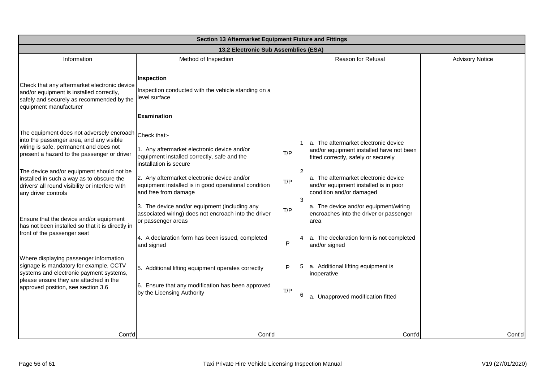| Section 13 Aftermarket Equipment Fixture and Fittings                                                                                                                                                                                                                                                                                                                                                                                                                                         |                                                                                                                                                                                                                                                                                                                                                                                                                                                      |                        |                                                                                                                                                                                                                                                                                                                                                                                                      |                        |
|-----------------------------------------------------------------------------------------------------------------------------------------------------------------------------------------------------------------------------------------------------------------------------------------------------------------------------------------------------------------------------------------------------------------------------------------------------------------------------------------------|------------------------------------------------------------------------------------------------------------------------------------------------------------------------------------------------------------------------------------------------------------------------------------------------------------------------------------------------------------------------------------------------------------------------------------------------------|------------------------|------------------------------------------------------------------------------------------------------------------------------------------------------------------------------------------------------------------------------------------------------------------------------------------------------------------------------------------------------------------------------------------------------|------------------------|
| 13.2 Electronic Sub Assemblies (ESA)                                                                                                                                                                                                                                                                                                                                                                                                                                                          |                                                                                                                                                                                                                                                                                                                                                                                                                                                      |                        |                                                                                                                                                                                                                                                                                                                                                                                                      |                        |
| Information                                                                                                                                                                                                                                                                                                                                                                                                                                                                                   | Method of Inspection                                                                                                                                                                                                                                                                                                                                                                                                                                 |                        | Reason for Refusal                                                                                                                                                                                                                                                                                                                                                                                   | <b>Advisory Notice</b> |
| Check that any aftermarket electronic device<br>and/or equipment is installed correctly,<br>safely and securely as recommended by the<br>equipment manufacturer                                                                                                                                                                                                                                                                                                                               | Inspection<br>Inspection conducted with the vehicle standing on a<br>level surface<br><b>Examination</b>                                                                                                                                                                                                                                                                                                                                             |                        |                                                                                                                                                                                                                                                                                                                                                                                                      |                        |
| The equipment does not adversely encroach Check that:-<br>into the passenger area, and any visible<br>wiring is safe, permanent and does not<br>present a hazard to the passenger or driver<br>The device and/or equipment should not be<br>installed in such a way as to obscure the<br>drivers' all round visibility or interfere with<br>any driver controls<br>Ensure that the device and/or equipment<br>has not been installed so that it is directly in<br>front of the passenger seat | 1. Any aftermarket electronic device and/or<br>equipment installed correctly, safe and the<br>installation is secure<br>2. Any aftermarket electronic device and/or<br>equipment installed is in good operational condition<br>and free from damage<br>3. The device and/or equipment (including any<br>associated wiring) does not encroach into the driver<br>or passenger areas<br>4. A declaration form has been issued, completed<br>and signed | T/P<br>T/P<br>T/P<br>P | a. The aftermarket electronic device<br>and/or equipment installed have not been<br>fitted correctly, safely or securely<br>a. The aftermarket electronic device<br>and/or equipment installed is in poor<br>condition and/or damaged<br>13<br>a. The device and/or equipment/wiring<br>encroaches into the driver or passenger<br>area<br>a. The declaration form is not completed<br>and/or signed |                        |
| Where displaying passenger information<br>signage is mandatory for example, CCTV<br>systems and electronic payment systems,<br>please ensure they are attached in the<br>approved position, see section 3.6                                                                                                                                                                                                                                                                                   | 5. Additional lifting equipment operates correctly<br>6. Ensure that any modification has been approved<br>by the Licensing Authority                                                                                                                                                                                                                                                                                                                | P<br>T/P               | a. Additional lifting equipment is<br>inoperative<br>a. Unapproved modification fitted                                                                                                                                                                                                                                                                                                               |                        |
| Cont'd                                                                                                                                                                                                                                                                                                                                                                                                                                                                                        | Cont'd                                                                                                                                                                                                                                                                                                                                                                                                                                               |                        | Cont'd                                                                                                                                                                                                                                                                                                                                                                                               | Cont'd                 |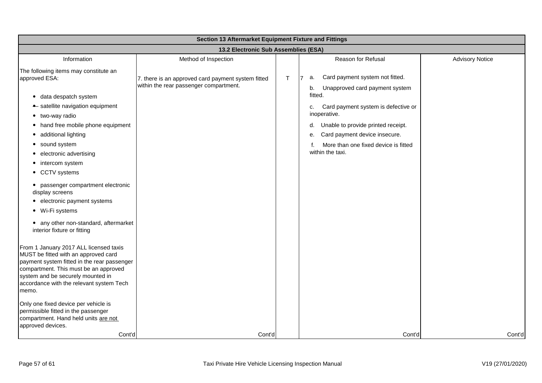| Section 13 Aftermarket Equipment Fixture and Fittings                                                                                                                                                                                                            |                                                                                              |    |                                                                                                |                        |
|------------------------------------------------------------------------------------------------------------------------------------------------------------------------------------------------------------------------------------------------------------------|----------------------------------------------------------------------------------------------|----|------------------------------------------------------------------------------------------------|------------------------|
| 13.2 Electronic Sub Assemblies (ESA)                                                                                                                                                                                                                             |                                                                                              |    |                                                                                                |                        |
| Information                                                                                                                                                                                                                                                      | Method of Inspection                                                                         |    | Reason for Refusal                                                                             | <b>Advisory Notice</b> |
| The following items may constitute an<br>approved ESA:                                                                                                                                                                                                           | 7. there is an approved card payment system fitted<br>within the rear passenger compartment. | T. | Card payment system not fitted.<br>17<br>a.<br>Unapproved card payment system<br>b.<br>fitted. |                        |
| · data despatch system                                                                                                                                                                                                                                           |                                                                                              |    |                                                                                                |                        |
| • satellite navigation equipment<br>• two-way radio                                                                                                                                                                                                              |                                                                                              |    | Card payment system is defective or<br>c.<br>inoperative.                                      |                        |
| • hand free mobile phone equipment<br>• additional lighting                                                                                                                                                                                                      |                                                                                              |    | Unable to provide printed receipt.<br>d.<br>Card payment device insecure.<br>е.                |                        |
| • sound system<br>• electronic advertising<br>• intercom system                                                                                                                                                                                                  |                                                                                              |    | More than one fixed device is fitted<br>f.<br>within the taxi.                                 |                        |
| • CCTV systems                                                                                                                                                                                                                                                   |                                                                                              |    |                                                                                                |                        |
| • passenger compartment electronic<br>display screens                                                                                                                                                                                                            |                                                                                              |    |                                                                                                |                        |
| • electronic payment systems<br>• Wi-Fi systems                                                                                                                                                                                                                  |                                                                                              |    |                                                                                                |                        |
| • any other non-standard, aftermarket<br>interior fixture or fitting                                                                                                                                                                                             |                                                                                              |    |                                                                                                |                        |
| From 1 January 2017 ALL licensed taxis<br>MUST be fitted with an approved card<br>payment system fitted in the rear passenger<br>compartment. This must be an approved<br>system and be securely mounted in<br>accordance with the relevant system Tech<br>memo. |                                                                                              |    |                                                                                                |                        |
| Only one fixed device per vehicle is<br>permissible fitted in the passenger<br>compartment. Hand held units are not<br>approved devices.                                                                                                                         |                                                                                              |    |                                                                                                |                        |
| Cont'd                                                                                                                                                                                                                                                           | Cont'd                                                                                       |    | Cont'd                                                                                         | Cont'd                 |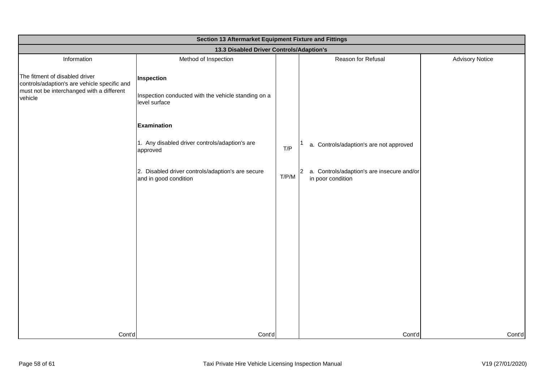| Section 13 Aftermarket Equipment Fixture and Fittings                                                                                  |                                                                                    |       |                                                                   |                        |
|----------------------------------------------------------------------------------------------------------------------------------------|------------------------------------------------------------------------------------|-------|-------------------------------------------------------------------|------------------------|
| 13.3 Disabled Driver Controls/Adaption's                                                                                               |                                                                                    |       |                                                                   |                        |
| Information                                                                                                                            | Method of Inspection                                                               |       | Reason for Refusal                                                | <b>Advisory Notice</b> |
| The fitment of disabled driver<br>controls/adaption's are vehicle specific and<br>must not be interchanged with a different<br>vehicle | Inspection<br>Inspection conducted with the vehicle standing on a<br>level surface |       |                                                                   |                        |
|                                                                                                                                        | Examination                                                                        |       |                                                                   |                        |
|                                                                                                                                        | 1. Any disabled driver controls/adaption's are<br>approved                         | T/P   | a. Controls/adaption's are not approved                           |                        |
|                                                                                                                                        | 2. Disabled driver controls/adaption's are secure<br>and in good condition         | T/P/M | 2 a. Controls/adaption's are insecure and/or<br>in poor condition |                        |
|                                                                                                                                        |                                                                                    |       |                                                                   |                        |
|                                                                                                                                        |                                                                                    |       |                                                                   |                        |
|                                                                                                                                        |                                                                                    |       |                                                                   |                        |
|                                                                                                                                        |                                                                                    |       |                                                                   |                        |
|                                                                                                                                        |                                                                                    |       |                                                                   |                        |
|                                                                                                                                        |                                                                                    |       |                                                                   |                        |
| Cont'd                                                                                                                                 | Cont'd                                                                             |       | Cont'd                                                            | Cont'd                 |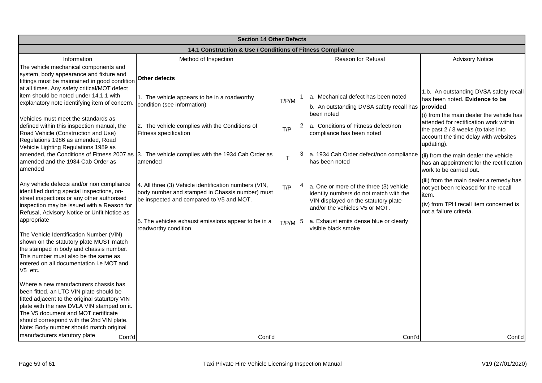| <b>Section 14 Other Defects</b>                                                                                                                                                                                                                                                                                                                            |                                                                                                                                                      |           |  |                                                                                                                                                             |                                                                                                                                                                |
|------------------------------------------------------------------------------------------------------------------------------------------------------------------------------------------------------------------------------------------------------------------------------------------------------------------------------------------------------------|------------------------------------------------------------------------------------------------------------------------------------------------------|-----------|--|-------------------------------------------------------------------------------------------------------------------------------------------------------------|----------------------------------------------------------------------------------------------------------------------------------------------------------------|
| 14.1 Construction & Use / Conditions of Fitness Compliance                                                                                                                                                                                                                                                                                                 |                                                                                                                                                      |           |  |                                                                                                                                                             |                                                                                                                                                                |
| Information<br>The vehicle mechanical components and<br>system, body appearance and fixture and<br>fittings must be maintained in good condition                                                                                                                                                                                                           | Method of Inspection<br>Other defects                                                                                                                |           |  | <b>Reason for Refusal</b>                                                                                                                                   | <b>Advisory Notice</b>                                                                                                                                         |
| at all times. Any safety critical/MOT defect<br>item should be noted under 14.1.1 with<br>explanatory note identifying item of concern.<br>Vehicles must meet the standards as<br>defined within this inspection manual, the                                                                                                                               | 1. The vehicle appears to be in a roadworthy<br>condition (see information)<br>2. The vehicle complies with the Conditions of                        | T/P/M     |  | a. Mechanical defect has been noted<br>b. An outstanding DVSA safety recall has <b>provided</b> :<br>been noted<br>a. Conditions of Fitness defect/non      | 1.b. An outstanding DVSA safety recall<br>has been noted. Evidence to be<br>(i) from the main dealer the vehicle has<br>attended for rectification work within |
| Road Vehicle (Construction and Use)<br>Regulations 1986 as amended, Road<br>Vehicle Lighting Regulations 1989 as                                                                                                                                                                                                                                           | <b>Fitness specification</b>                                                                                                                         | T/P       |  | compliance has been noted                                                                                                                                   | the past 2 / 3 weeks (to take into<br>account the time delay with websites<br>updating).                                                                       |
| amended and the 1934 Cab Order as<br>amended                                                                                                                                                                                                                                                                                                               | amended, the Conditions of Fitness 2007 as 3. The vehicle complies with the 1934 Cab Order as<br>amended                                             |           |  | a. 1934 Cab Order defect/non compliance<br>has been noted                                                                                                   | (ii) from the main dealer the vehicle<br>has an appointment for the rectification<br>work to be carried out.                                                   |
| Any vehicle defects and/or non compliance<br>identified during special inspections, on-<br>street inspections or any other authorised<br>inspection may be issued with a Reason for<br>Refusal, Advisory Notice or Unfit Notice as                                                                                                                         | 4. All three (3) Vehicle identification numbers (VIN,<br>body number and stamped in Chassis number) must<br>be inspected and compared to V5 and MOT. | T/P       |  | a. One or more of the three (3) vehicle<br>identity numbers do not match with the<br>VIN displayed on the statutory plate<br>and/or the vehicles V5 or MOT. | (iii) from the main dealer a remedy has<br>not yet been released for the recall<br>litem.<br>(iv) from TPH recall item concerned is<br>not a failure criteria. |
| appropriate<br>The Vehicle Identification Number (VIN)<br>shown on the statutory plate MUST match<br>the stamped in body and chassis number.<br>This number must also be the same as<br>entered on all documentation i.e MOT and<br>V5 etc.                                                                                                                | 5. The vehicles exhaust emissions appear to be in a<br>roadworthy condition                                                                          | $T/P/M$ 5 |  | a. Exhaust emits dense blue or clearly<br>visible black smoke                                                                                               |                                                                                                                                                                |
| Where a new manufacturers chassis has<br>been fitted, an LTC VIN plate should be<br>fitted adjacent to the original staturtory VIN<br>plate with the new DVLA VIN stamped on it.<br>The V5 document and MOT certificate<br>should correspond with the 2nd VIN plate.<br>Note: Body number should match original<br>manufacturers statutory plate<br>Cont'd | Cont'd                                                                                                                                               |           |  | Cont'd                                                                                                                                                      | Cont'd                                                                                                                                                         |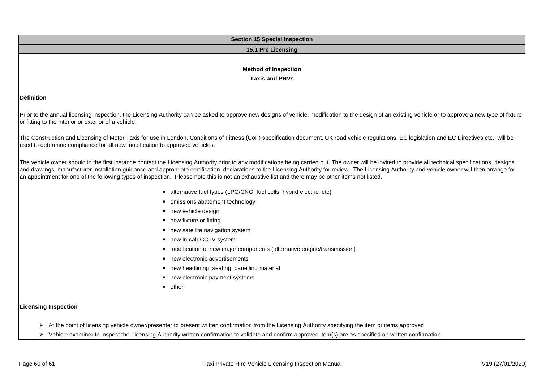| <b>Section 15 Special Inspection</b>                                                                                                                                                                                                                                                                                                                                                                                                                                                                                                                               |  |  |  |  |  |
|--------------------------------------------------------------------------------------------------------------------------------------------------------------------------------------------------------------------------------------------------------------------------------------------------------------------------------------------------------------------------------------------------------------------------------------------------------------------------------------------------------------------------------------------------------------------|--|--|--|--|--|
| 15.1 Pre Licensing                                                                                                                                                                                                                                                                                                                                                                                                                                                                                                                                                 |  |  |  |  |  |
|                                                                                                                                                                                                                                                                                                                                                                                                                                                                                                                                                                    |  |  |  |  |  |
| <b>Method of Inspection</b>                                                                                                                                                                                                                                                                                                                                                                                                                                                                                                                                        |  |  |  |  |  |
| <b>Taxis and PHVs</b>                                                                                                                                                                                                                                                                                                                                                                                                                                                                                                                                              |  |  |  |  |  |
|                                                                                                                                                                                                                                                                                                                                                                                                                                                                                                                                                                    |  |  |  |  |  |
| <b>Definition</b>                                                                                                                                                                                                                                                                                                                                                                                                                                                                                                                                                  |  |  |  |  |  |
| Prior to the annual licensing inspection, the Licensing Authority can be asked to approve new designs of vehicle, modification to the design of an existing vehicle or to approve a new type of fixture<br>or fitting to the interior or exterior of a vehicle.                                                                                                                                                                                                                                                                                                    |  |  |  |  |  |
| The Construction and Licensing of Motor Taxis for use in London, Conditions of Fitness (CoF) specification document, UK road vehicle regulations, EC legislation and EC Directives etc., will be<br>used to determine compliance for all new modification to approved vehicles.                                                                                                                                                                                                                                                                                    |  |  |  |  |  |
| The vehicle owner should in the first instance contact the Licensing Authority prior to any modifications being carried out. The owner will be invited to provide all technical specifications, designs<br>and drawings, manufacturer installation guidance and appropriate certification, declarations to the Licensing Authority for review. The Licensing Authority and vehicle owner will then arrange for<br>an appointment for one of the following types of inspection. Please note this is not an exhaustive list and there may be other items not listed. |  |  |  |  |  |
| • alternative fuel types (LPG/CNG, fuel cells, hybrid electric, etc)                                                                                                                                                                                                                                                                                                                                                                                                                                                                                               |  |  |  |  |  |
| • emissions abatement technology                                                                                                                                                                                                                                                                                                                                                                                                                                                                                                                                   |  |  |  |  |  |
| • new vehicle design                                                                                                                                                                                                                                                                                                                                                                                                                                                                                                                                               |  |  |  |  |  |
| • new fixture or fitting                                                                                                                                                                                                                                                                                                                                                                                                                                                                                                                                           |  |  |  |  |  |
| • new satellite navigation system                                                                                                                                                                                                                                                                                                                                                                                                                                                                                                                                  |  |  |  |  |  |
| • new in-cab CCTV system                                                                                                                                                                                                                                                                                                                                                                                                                                                                                                                                           |  |  |  |  |  |
| • modification of new major components (alternative engine/transmission)                                                                                                                                                                                                                                                                                                                                                                                                                                                                                           |  |  |  |  |  |
| new electronic advertisements                                                                                                                                                                                                                                                                                                                                                                                                                                                                                                                                      |  |  |  |  |  |
| • new headlining, seating, panelling material                                                                                                                                                                                                                                                                                                                                                                                                                                                                                                                      |  |  |  |  |  |
| • new electronic payment systems                                                                                                                                                                                                                                                                                                                                                                                                                                                                                                                                   |  |  |  |  |  |
| • other                                                                                                                                                                                                                                                                                                                                                                                                                                                                                                                                                            |  |  |  |  |  |
| <b>Licensing Inspection</b>                                                                                                                                                                                                                                                                                                                                                                                                                                                                                                                                        |  |  |  |  |  |
| At the point of licensing vehicle owner/presenter to present written confirmation from the Licensing Authority specifying the item or items approved                                                                                                                                                                                                                                                                                                                                                                                                               |  |  |  |  |  |
| > Vehicle examiner to inspect the Licensing Authority written confirmation to validate and confirm approved item(s) are as specified on written confirmation                                                                                                                                                                                                                                                                                                                                                                                                       |  |  |  |  |  |